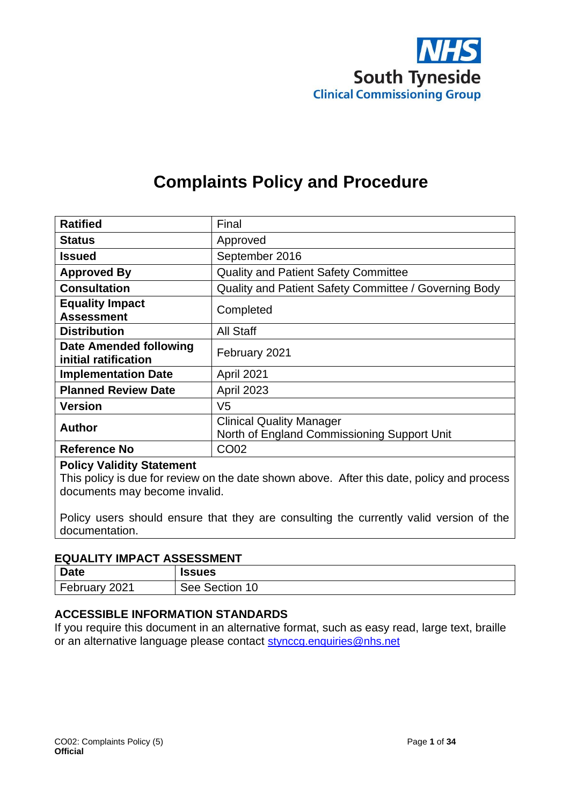

# **Complaints Policy and Procedure**

| <b>Ratified</b>                                       | Final                                                                          |
|-------------------------------------------------------|--------------------------------------------------------------------------------|
| <b>Status</b>                                         | Approved                                                                       |
| Issued                                                | September 2016                                                                 |
| <b>Approved By</b>                                    | <b>Quality and Patient Safety Committee</b>                                    |
| <b>Consultation</b>                                   | Quality and Patient Safety Committee / Governing Body                          |
| <b>Equality Impact</b><br><b>Assessment</b>           | Completed                                                                      |
| <b>Distribution</b>                                   | All Staff                                                                      |
| <b>Date Amended following</b><br>initial ratification | February 2021                                                                  |
| <b>Implementation Date</b>                            | April 2021                                                                     |
| <b>Planned Review Date</b>                            | <b>April 2023</b>                                                              |
| <b>Version</b>                                        | V5                                                                             |
| <b>Author</b>                                         | <b>Clinical Quality Manager</b><br>North of England Commissioning Support Unit |
| <b>Reference No</b>                                   | <b>CO02</b>                                                                    |

#### **Policy Validity Statement**

This policy is due for review on the date shown above. After this date, policy and process documents may become invalid.

Policy users should ensure that they are consulting the currently valid version of the documentation.

#### **EQUALITY IMPACT ASSESSMENT**

| <b>Date</b> | <b>Issues</b> |
|-------------|---------------|
| February    | See Section   |
| 2021        | 10            |

#### **ACCESSIBLE INFORMATION STANDARDS**

If you require this document in an alternative format, such as easy read, large text, braille or an alternative language please contact [stynccg.enquiries@nhs.net](mailto:stynccg.enquiries@nhs.net)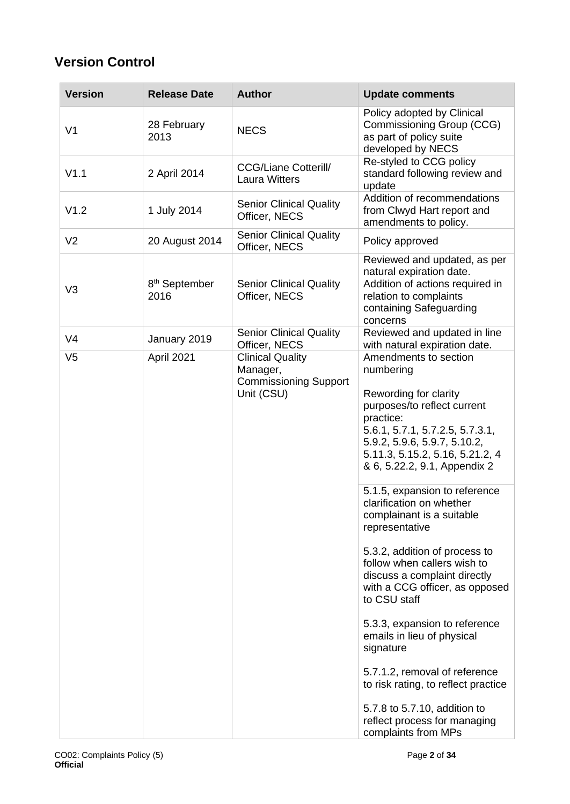# **Version Control**

| <b>Version</b> | <b>Release Date</b>               | <b>Author</b>                                                                     | <b>Update comments</b>                                                                                                                                                                                                                                                                                                                                                                                                                                                                                |
|----------------|-----------------------------------|-----------------------------------------------------------------------------------|-------------------------------------------------------------------------------------------------------------------------------------------------------------------------------------------------------------------------------------------------------------------------------------------------------------------------------------------------------------------------------------------------------------------------------------------------------------------------------------------------------|
| V <sub>1</sub> | 28 February<br>2013               | <b>NECS</b>                                                                       | Policy adopted by Clinical<br>Commissioning Group (CCG)<br>as part of policy suite<br>developed by NECS                                                                                                                                                                                                                                                                                                                                                                                               |
| V1.1           | 2 April 2014                      | <b>CCG/Liane Cotterill/</b><br><b>Laura Witters</b>                               | Re-styled to CCG policy<br>standard following review and<br>update                                                                                                                                                                                                                                                                                                                                                                                                                                    |
| V1.2           | 1 July 2014                       | <b>Senior Clinical Quality</b><br>Officer, NECS                                   | Addition of recommendations<br>from Clwyd Hart report and<br>amendments to policy.                                                                                                                                                                                                                                                                                                                                                                                                                    |
| V <sub>2</sub> | 20 August 2014                    | <b>Senior Clinical Quality</b><br>Officer, NECS                                   | Policy approved                                                                                                                                                                                                                                                                                                                                                                                                                                                                                       |
| V <sub>3</sub> | 8 <sup>th</sup> September<br>2016 | <b>Senior Clinical Quality</b><br>Officer, NECS                                   | Reviewed and updated, as per<br>natural expiration date.<br>Addition of actions required in<br>relation to complaints<br>containing Safeguarding<br>concerns                                                                                                                                                                                                                                                                                                                                          |
| V <sub>4</sub> | January 2019                      | <b>Senior Clinical Quality</b><br>Officer, NECS                                   | Reviewed and updated in line<br>with natural expiration date.                                                                                                                                                                                                                                                                                                                                                                                                                                         |
| V <sub>5</sub> | April 2021                        | <b>Clinical Quality</b><br>Manager,<br><b>Commissioning Support</b><br>Unit (CSU) | Amendments to section<br>numbering<br>Rewording for clarity<br>purposes/to reflect current<br>practice:<br>5.6.1, 5.7.1, 5.7.2.5, 5.7.3.1,<br>5.9.2, 5.9.6, 5.9.7, 5.10.2,<br>5.11.3, 5.15.2, 5.16, 5.21.2, 4<br>& 6, 5.22.2, 9.1, Appendix 2                                                                                                                                                                                                                                                         |
|                |                                   |                                                                                   | 5.1.5, expansion to reference<br>clarification on whether<br>complainant is a suitable<br>representative<br>5.3.2, addition of process to<br>follow when callers wish to<br>discuss a complaint directly<br>with a CCG officer, as opposed<br>to CSU staff<br>5.3.3, expansion to reference<br>emails in lieu of physical<br>signature<br>5.7.1.2, removal of reference<br>to risk rating, to reflect practice<br>5.7.8 to 5.7.10, addition to<br>reflect process for managing<br>complaints from MPs |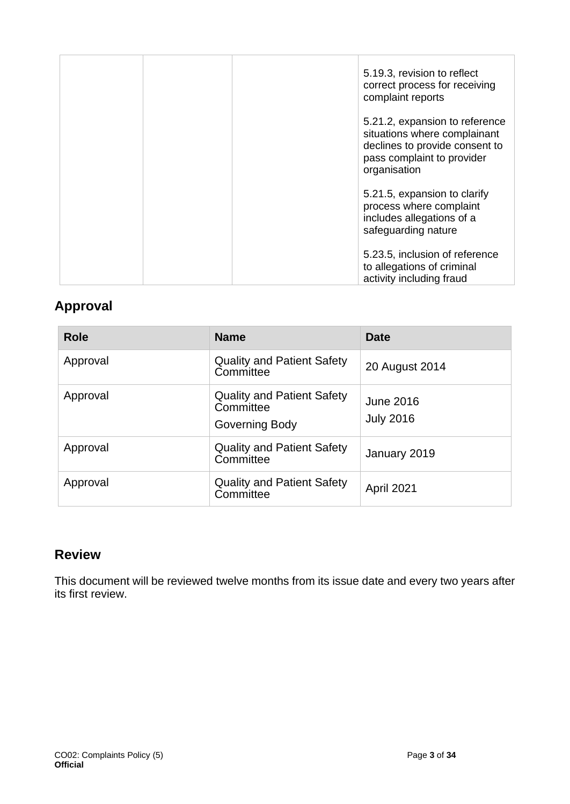| 5.19.3, revision to reflect<br>correct process for receiving<br>complaint reports                                                              |  |
|------------------------------------------------------------------------------------------------------------------------------------------------|--|
| 5.21.2, expansion to reference<br>situations where complainant<br>declines to provide consent to<br>pass complaint to provider<br>organisation |  |
| 5.21.5, expansion to clarify<br>process where complaint<br>includes allegations of a<br>safeguarding nature                                    |  |
| 5.23.5, inclusion of reference<br>to allegations of criminal<br>activity including fraud                                                       |  |

## **Approval**

| <b>Role</b> | <b>Name</b>                                                      | <b>Date</b>                   |
|-------------|------------------------------------------------------------------|-------------------------------|
| Approval    | <b>Quality and Patient Safety</b><br>Committee                   | 20 August 2014                |
| Approval    | <b>Quality and Patient Safety</b><br>Committee<br>Governing Body | June 2016<br><b>July 2016</b> |
| Approval    | <b>Quality and Patient Safety</b><br>Committee                   | January 2019                  |
| Approval    | <b>Quality and Patient Safety</b><br>Committee                   | April 2021                    |

## **Review**

This document will be reviewed twelve months from its issue date and every two years after its first review.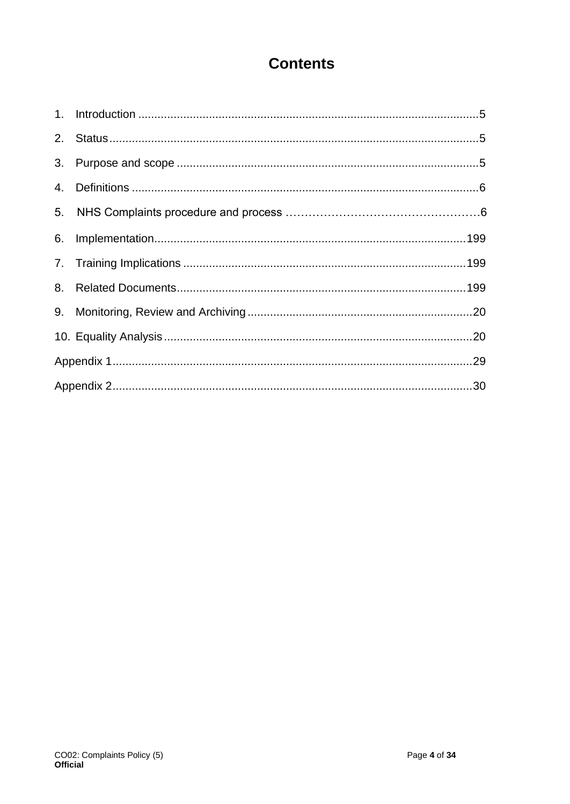# **Contents**

| 3.             |  |
|----------------|--|
|                |  |
| 5 <sub>1</sub> |  |
| 6.             |  |
|                |  |
| 8.             |  |
|                |  |
|                |  |
|                |  |
|                |  |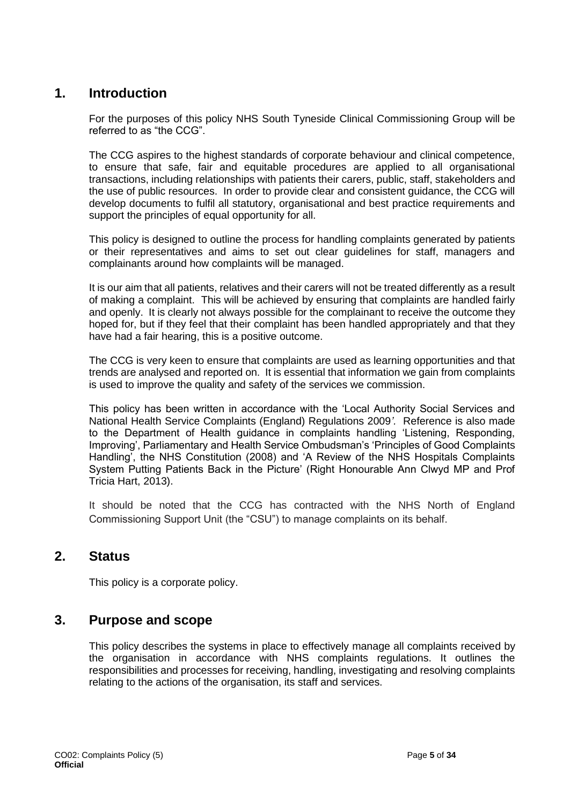## <span id="page-4-0"></span>**1. Introduction**

For the purposes of this policy NHS South Tyneside Clinical Commissioning Group will be referred to as "the CCG".

The CCG aspires to the highest standards of corporate behaviour and clinical competence, to ensure that safe, fair and equitable procedures are applied to all organisational transactions, including relationships with patients their carers, public, staff, stakeholders and the use of public resources. In order to provide clear and consistent guidance, the CCG will develop documents to fulfil all statutory, organisational and best practice requirements and support the principles of equal opportunity for all.

This policy is designed to outline the process for handling complaints generated by patients or their representatives and aims to set out clear guidelines for staff, managers and complainants around how complaints will be managed.

It is our aim that all patients, relatives and their carers will not be treated differently as a result of making a complaint. This will be achieved by ensuring that complaints are handled fairly and openly. It is clearly not always possible for the complainant to receive the outcome they hoped for, but if they feel that their complaint has been handled appropriately and that they have had a fair hearing, this is a positive outcome.

The CCG is very keen to ensure that complaints are used as learning opportunities and that trends are analysed and reported on. It is essential that information we gain from complaints is used to improve the quality and safety of the services we commission.

This policy has been written in accordance with the 'Local Authority Social Services and National Health Service Complaints (England) Regulations 2009*'.* Reference is also made to the Department of Health guidance in complaints handling 'Listening, Responding, Improving', Parliamentary and Health Service Ombudsman's 'Principles of Good Complaints Handling', the NHS Constitution (2008) and 'A Review of the NHS Hospitals Complaints System Putting Patients Back in the Picture' (Right Honourable Ann Clwyd MP and Prof Tricia Hart, 2013).

It should be noted that the CCG has contracted with the NHS North of England Commissioning Support Unit (the "CSU") to manage complaints on its behalf.

### <span id="page-4-1"></span>**2. Status**

This policy is a corporate policy.

## <span id="page-4-2"></span>**3. Purpose and scope**

This policy describes the systems in place to effectively manage all complaints received by the organisation in accordance with NHS complaints regulations. It outlines the responsibilities and processes for receiving, handling, investigating and resolving complaints relating to the actions of the organisation, its staff and services.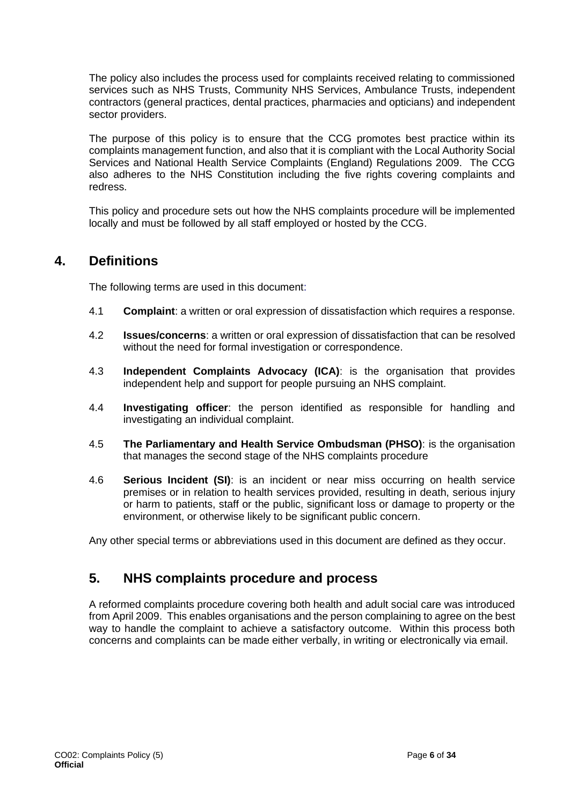The policy also includes the process used for complaints received relating to commissioned services such as NHS Trusts, Community NHS Services, Ambulance Trusts, independent contractors (general practices, dental practices, pharmacies and opticians) and independent sector providers.

The purpose of this policy is to ensure that the CCG promotes best practice within its complaints management function, and also that it is compliant with the Local Authority Social Services and National Health Service Complaints (England) Regulations 2009. The CCG also adheres to the NHS Constitution including the five rights covering complaints and redress.

This policy and procedure sets out how the NHS complaints procedure will be implemented locally and must be followed by all staff employed or hosted by the CCG.

## <span id="page-5-0"></span>**4. Definitions**

The following terms are used in this document:

- 4.1 **Complaint**: a written or oral expression of dissatisfaction which requires a response.
- 4.2 **Issues/concerns**: a written or oral expression of dissatisfaction that can be resolved without the need for formal investigation or correspondence.
- 4.3 **Independent Complaints Advocacy (ICA)**: is the organisation that provides independent help and support for people pursuing an NHS complaint.
- 4.4 **Investigating officer**: the person identified as responsible for handling and investigating an individual complaint.
- 4.5 **The Parliamentary and Health Service Ombudsman (PHSO)**: is the organisation that manages the second stage of the NHS complaints procedure
- 4.6 **Serious Incident (SI)**: is an incident or near miss occurring on health service premises or in relation to health services provided, resulting in death, serious injury or harm to patients, staff or the public, significant loss or damage to property or the environment, or otherwise likely to be significant public concern.

Any other special terms or abbreviations used in this document are defined as they occur.

## **5. NHS complaints procedure and process**

A reformed complaints procedure covering both health and adult social care was introduced from April 2009. This enables organisations and the person complaining to agree on the best way to handle the complaint to achieve a satisfactory outcome. Within this process both concerns and complaints can be made either verbally, in writing or electronically via email.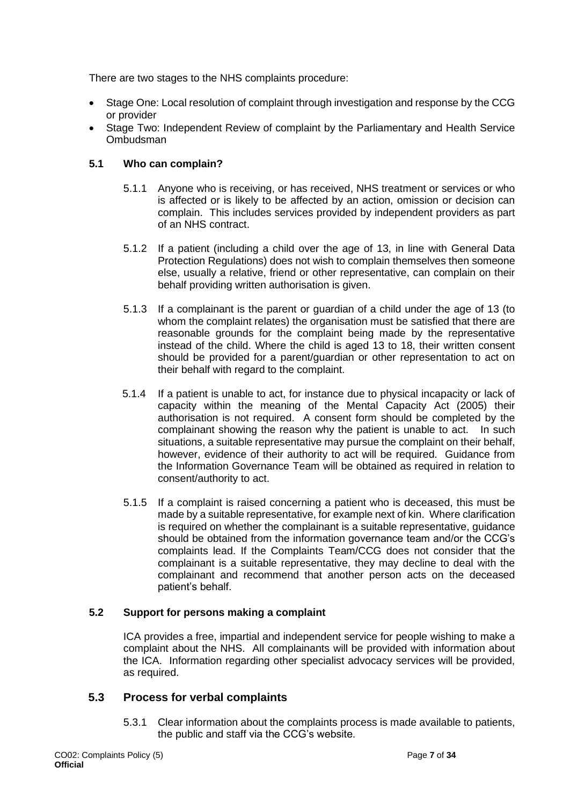There are two stages to the NHS complaints procedure:

- Stage One: Local resolution of complaint through investigation and response by the CCG or provider
- Stage Two: Independent Review of complaint by the Parliamentary and Health Service Ombudsman

#### **5.1 Who can complain?**

- 5.1.1 Anyone who is receiving, or has received, NHS treatment or services or who is affected or is likely to be affected by an action, omission or decision can complain. This includes services provided by independent providers as part of an NHS contract.
- 5.1.2 If a patient (including a child over the age of 13, in line with General Data Protection Regulations) does not wish to complain themselves then someone else, usually a relative, friend or other representative, can complain on their behalf providing written authorisation is given.
- 5.1.3 If a complainant is the parent or guardian of a child under the age of 13 (to whom the complaint relates) the organisation must be satisfied that there are reasonable grounds for the complaint being made by the representative instead of the child. Where the child is aged 13 to 18, their written consent should be provided for a parent/guardian or other representation to act on their behalf with regard to the complaint.
- 5.1.4 If a patient is unable to act, for instance due to physical incapacity or lack of capacity within the meaning of the Mental Capacity Act (2005) their authorisation is not required. A consent form should be completed by the complainant showing the reason why the patient is unable to act. In such situations, a suitable representative may pursue the complaint on their behalf, however, evidence of their authority to act will be required. Guidance from the Information Governance Team will be obtained as required in relation to consent/authority to act.
- 5.1.5 If a complaint is raised concerning a patient who is deceased, this must be made by a suitable representative, for example next of kin. Where clarification is required on whether the complainant is a suitable representative, guidance should be obtained from the information governance team and/or the CCG's complaints lead. If the Complaints Team/CCG does not consider that the complainant is a suitable representative, they may decline to deal with the complainant and recommend that another person acts on the deceased patient's behalf.

#### **5.2 Support for persons making a complaint**

ICA provides a free, impartial and independent service for people wishing to make a complaint about the NHS. All complainants will be provided with information about the ICA. Information regarding other specialist advocacy services will be provided, as required.

#### **5.3 Process for verbal complaints**

5.3.1 Clear information about the complaints process is made available to patients, the public and staff via the CCG's website.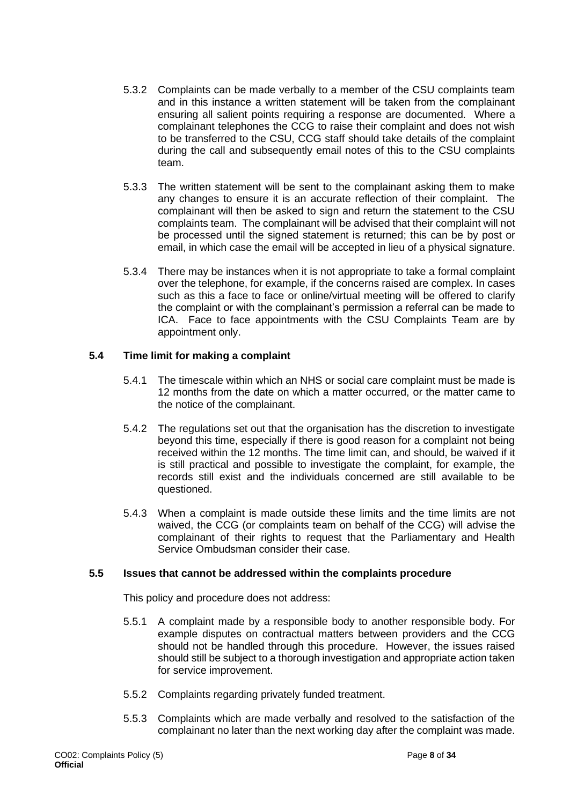- 5.3.2 Complaints can be made verbally to a member of the CSU complaints team and in this instance a written statement will be taken from the complainant ensuring all salient points requiring a response are documented. Where a complainant telephones the CCG to raise their complaint and does not wish to be transferred to the CSU, CCG staff should take details of the complaint during the call and subsequently email notes of this to the CSU complaints team.
- 5.3.3 The written statement will be sent to the complainant asking them to make any changes to ensure it is an accurate reflection of their complaint. The complainant will then be asked to sign and return the statement to the CSU complaints team. The complainant will be advised that their complaint will not be processed until the signed statement is returned; this can be by post or email, in which case the email will be accepted in lieu of a physical signature.
- 5.3.4 There may be instances when it is not appropriate to take a formal complaint over the telephone, for example, if the concerns raised are complex. In cases such as this a face to face or online/virtual meeting will be offered to clarify the complaint or with the complainant's permission a referral can be made to ICA. Face to face appointments with the CSU Complaints Team are by appointment only.

#### **5.4 Time limit for making a complaint**

- 5.4.1 The timescale within which an NHS or social care complaint must be made is 12 months from the date on which a matter occurred, or the matter came to the notice of the complainant.
- 5.4.2 The regulations set out that the organisation has the discretion to investigate beyond this time, especially if there is good reason for a complaint not being received within the 12 months. The time limit can, and should, be waived if it is still practical and possible to investigate the complaint, for example, the records still exist and the individuals concerned are still available to be questioned.
- 5.4.3 When a complaint is made outside these limits and the time limits are not waived, the CCG (or complaints team on behalf of the CCG) will advise the complainant of their rights to request that the Parliamentary and Health Service Ombudsman consider their case.

#### **5.5 Issues that cannot be addressed within the complaints procedure**

This policy and procedure does not address:

- 5.5.1 A complaint made by a responsible body to another responsible body. For example disputes on contractual matters between providers and the CCG should not be handled through this procedure. However, the issues raised should still be subject to a thorough investigation and appropriate action taken for service improvement.
- 5.5.2 Complaints regarding privately funded treatment.
- 5.5.3 Complaints which are made verbally and resolved to the satisfaction of the complainant no later than the next working day after the complaint was made.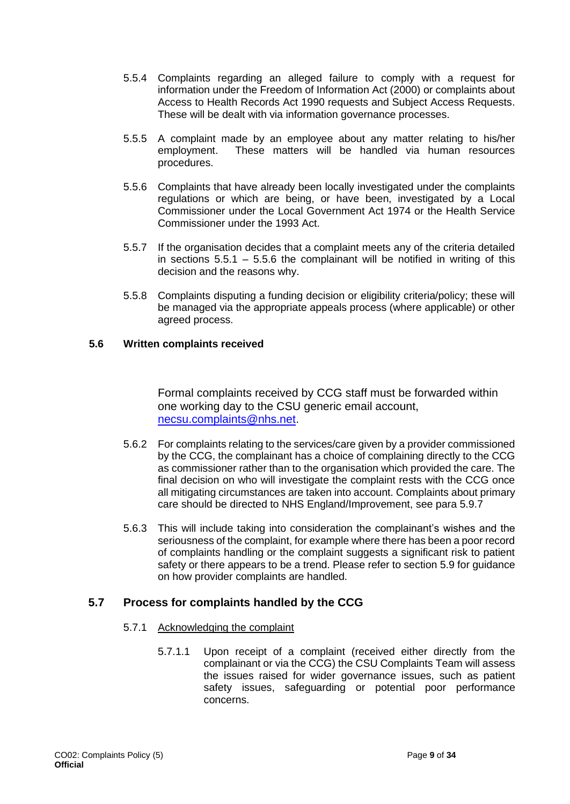- 5.5.4 Complaints regarding an alleged failure to comply with a request for information under the Freedom of Information Act (2000) or complaints about Access to Health Records Act 1990 requests and Subject Access Requests. These will be dealt with via information governance processes.
- 5.5.5 A complaint made by an employee about any matter relating to his/her employment. These matters will be handled via human resources procedures.
- 5.5.6 Complaints that have already been locally investigated under the complaints regulations or which are being, or have been, investigated by a Local Commissioner under the Local Government Act 1974 or the Health Service Commissioner under the 1993 Act.
- 5.5.7 If the organisation decides that a complaint meets any of the criteria detailed in sections  $5.5.1 - 5.5.6$  the complainant will be notified in writing of this decision and the reasons why.
- 5.5.8 Complaints disputing a funding decision or eligibility criteria/policy; these will be managed via the appropriate appeals process (where applicable) or other agreed process.

#### **5.6 Written complaints received**

Formal complaints received by CCG staff must be forwarded within one working day to the CSU generic email account, [necsu.complaints@nhs.net.](mailto:necsu.complaints@nhs.net)

- 5.6.2 For complaints relating to the services/care given by a provider commissioned by the CCG, the complainant has a choice of complaining directly to the CCG as commissioner rather than to the organisation which provided the care. The final decision on who will investigate the complaint rests with the CCG once all mitigating circumstances are taken into account. Complaints about primary care should be directed to NHS England/Improvement, see para 5.9.7
- 5.6.3 This will include taking into consideration the complainant's wishes and the seriousness of the complaint, for example where there has been a poor record of complaints handling or the complaint suggests a significant risk to patient safety or there appears to be a trend. Please refer to section 5.9 for guidance on how provider complaints are handled.

#### **5.7 Process for complaints handled by the CCG**

#### 5.7.1 Acknowledging the complaint

5.7.1.1 Upon receipt of a complaint (received either directly from the complainant or via the CCG) the CSU Complaints Team will assess the issues raised for wider governance issues, such as patient safety issues, safeguarding or potential poor performance concerns.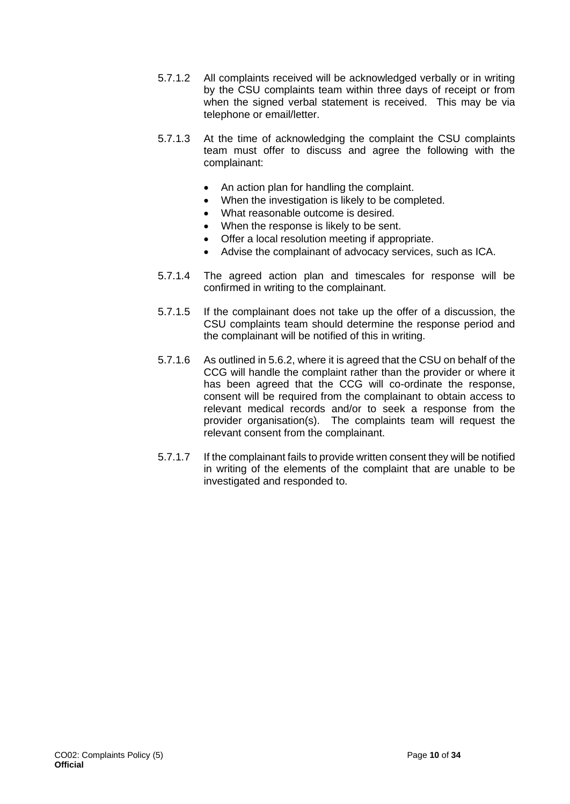- 5.7.1.2 All complaints received will be acknowledged verbally or in writing by the CSU complaints team within three days of receipt or from when the signed verbal statement is received. This may be via telephone or email/letter.
- 5.7.1.3 At the time of acknowledging the complaint the CSU complaints team must offer to discuss and agree the following with the complainant:
	- An action plan for handling the complaint.
	- When the investigation is likely to be completed.
	- What reasonable outcome is desired.
	- When the response is likely to be sent.
	- Offer a local resolution meeting if appropriate.
	- Advise the complainant of advocacy services, such as ICA.
- 5.7.1.4 The agreed action plan and timescales for response will be confirmed in writing to the complainant.
- 5.7.1.5 If the complainant does not take up the offer of a discussion, the CSU complaints team should determine the response period and the complainant will be notified of this in writing.
- 5.7.1.6 As outlined in 5.6.2, where it is agreed that the CSU on behalf of the CCG will handle the complaint rather than the provider or where it has been agreed that the CCG will co-ordinate the response, consent will be required from the complainant to obtain access to relevant medical records and/or to seek a response from the provider organisation(s). The complaints team will request the relevant consent from the complainant.
- 5.7.1.7 If the complainant fails to provide written consent they will be notified in writing of the elements of the complaint that are unable to be investigated and responded to.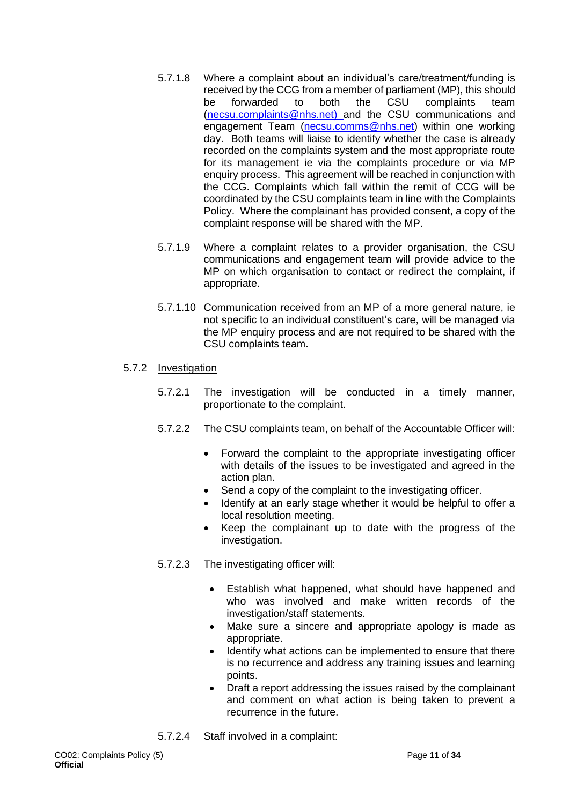- 5.7.1.8 Where a complaint about an individual's care/treatment/funding is received by the CCG from a member of parliament (MP), this should be forwarded to both the CSU complaints team [\(necsu.complaints@nhs.net\)](mailto:necsu.complaints@nhs.net) and the CSU communications and engagement Team [\(necsu.comms@nhs.net\)](mailto:necsu.comms@nhs.net) within one working day. Both teams will liaise to identify whether the case is already recorded on the complaints system and the most appropriate route for its management ie via the complaints procedure or via MP enquiry process. This agreement will be reached in conjunction with the CCG. Complaints which fall within the remit of CCG will be coordinated by the CSU complaints team in line with the Complaints Policy. Where the complainant has provided consent, a copy of the complaint response will be shared with the MP.
- 5.7.1.9 Where a complaint relates to a provider organisation, the CSU communications and engagement team will provide advice to the MP on which organisation to contact or redirect the complaint, if appropriate.
- 5.7.1.10 Communication received from an MP of a more general nature, ie not specific to an individual constituent's care, will be managed via the MP enquiry process and are not required to be shared with the CSU complaints team.

#### 5.7.2 Investigation

- 5.7.2.1 The investigation will be conducted in a timely manner, proportionate to the complaint.
- 5.7.2.2 The CSU complaints team, on behalf of the Accountable Officer will:
	- Forward the complaint to the appropriate investigating officer with details of the issues to be investigated and agreed in the action plan.
	- Send a copy of the complaint to the investigating officer.
	- Identify at an early stage whether it would be helpful to offer a local resolution meeting.
	- Keep the complainant up to date with the progress of the investigation.
- 5.7.2.3 The investigating officer will:
	- Establish what happened, what should have happened and who was involved and make written records of the investigation/staff statements.
	- Make sure a sincere and appropriate apology is made as appropriate.
	- Identify what actions can be implemented to ensure that there is no recurrence and address any training issues and learning points.
	- Draft a report addressing the issues raised by the complainant and comment on what action is being taken to prevent a recurrence in the future.
- 5.7.2.4 Staff involved in a complaint: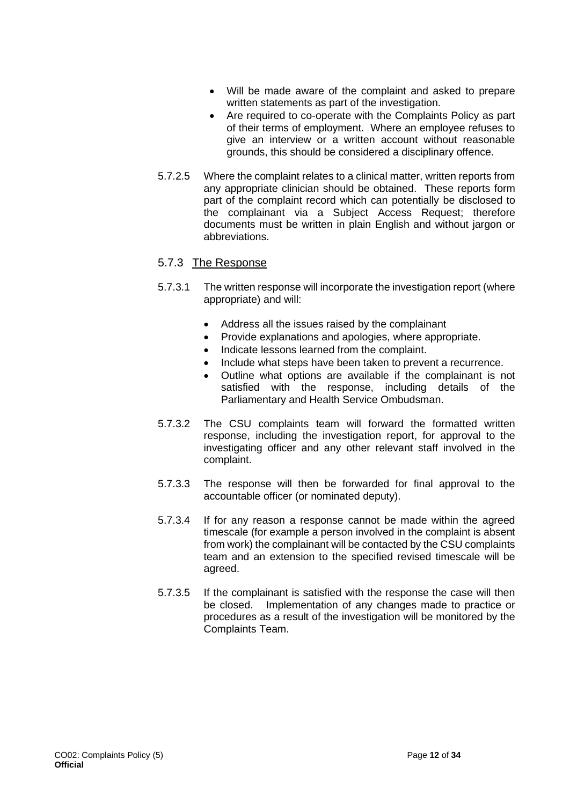- Will be made aware of the complaint and asked to prepare written statements as part of the investigation.
- Are required to co-operate with the Complaints Policy as part of their terms of employment. Where an employee refuses to give an interview or a written account without reasonable grounds, this should be considered a disciplinary offence.
- 5.7.2.5 Where the complaint relates to a clinical matter, written reports from any appropriate clinician should be obtained. These reports form part of the complaint record which can potentially be disclosed to the complainant via a Subject Access Request; therefore documents must be written in plain English and without jargon or abbreviations.

#### 5.7.3 The Response

- 5.7.3.1 The written response will incorporate the investigation report (where appropriate) and will:
	- Address all the issues raised by the complainant
	- Provide explanations and apologies, where appropriate.
	- Indicate lessons learned from the complaint.
	- Include what steps have been taken to prevent a recurrence.
	- Outline what options are available if the complainant is not satisfied with the response, including details of the Parliamentary and Health Service Ombudsman.
- 5.7.3.2 The CSU complaints team will forward the formatted written response, including the investigation report, for approval to the investigating officer and any other relevant staff involved in the complaint.
- 5.7.3.3 The response will then be forwarded for final approval to the accountable officer (or nominated deputy).
- 5.7.3.4 If for any reason a response cannot be made within the agreed timescale (for example a person involved in the complaint is absent from work) the complainant will be contacted by the CSU complaints team and an extension to the specified revised timescale will be agreed.
- 5.7.3.5 If the complainant is satisfied with the response the case will then be closed. Implementation of any changes made to practice or procedures as a result of the investigation will be monitored by the Complaints Team.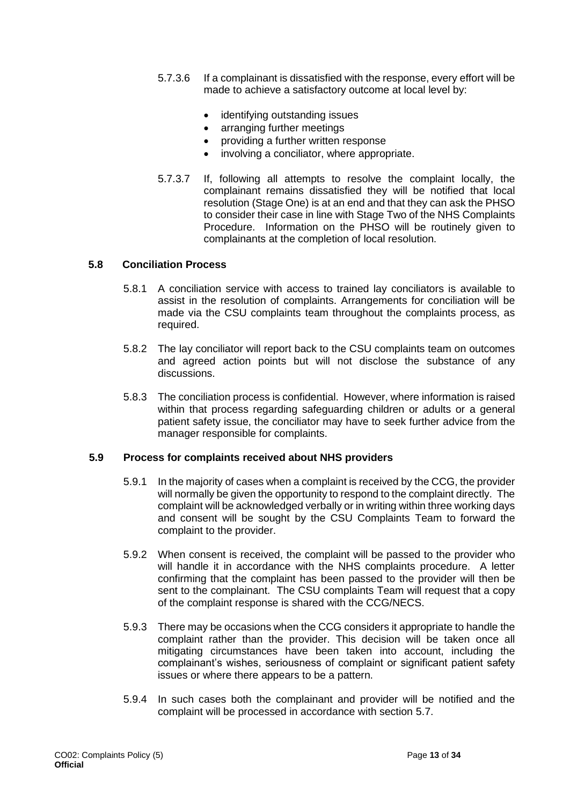- 5.7.3.6 If a complainant is dissatisfied with the response, every effort will be made to achieve a satisfactory outcome at local level by:
	- identifying outstanding issues
	- arranging further meetings
	- providing a further written response
	- involving a conciliator, where appropriate.
- 5.7.3.7 If, following all attempts to resolve the complaint locally, the complainant remains dissatisfied they will be notified that local resolution (Stage One) is at an end and that they can ask the PHSO to consider their case in line with Stage Two of the NHS Complaints Procedure. Information on the PHSO will be routinely given to complainants at the completion of local resolution.

#### **5.8 Conciliation Process**

- 5.8.1 A conciliation service with access to trained lay conciliators is available to assist in the resolution of complaints. Arrangements for conciliation will be made via the CSU complaints team throughout the complaints process, as required.
- 5.8.2 The lay conciliator will report back to the CSU complaints team on outcomes and agreed action points but will not disclose the substance of any discussions.
- 5.8.3 The conciliation process is confidential. However, where information is raised within that process regarding safeguarding children or adults or a general patient safety issue, the conciliator may have to seek further advice from the manager responsible for complaints.

#### **5.9 Process for complaints received about NHS providers**

- 5.9.1 In the majority of cases when a complaint is received by the CCG, the provider will normally be given the opportunity to respond to the complaint directly. The complaint will be acknowledged verbally or in writing within three working days and consent will be sought by the CSU Complaints Team to forward the complaint to the provider.
- 5.9.2 When consent is received, the complaint will be passed to the provider who will handle it in accordance with the NHS complaints procedure. A letter confirming that the complaint has been passed to the provider will then be sent to the complainant. The CSU complaints Team will request that a copy of the complaint response is shared with the CCG/NECS.
- 5.9.3 There may be occasions when the CCG considers it appropriate to handle the complaint rather than the provider. This decision will be taken once all mitigating circumstances have been taken into account, including the complainant's wishes, seriousness of complaint or significant patient safety issues or where there appears to be a pattern.
- 5.9.4 In such cases both the complainant and provider will be notified and the complaint will be processed in accordance with section 5.7.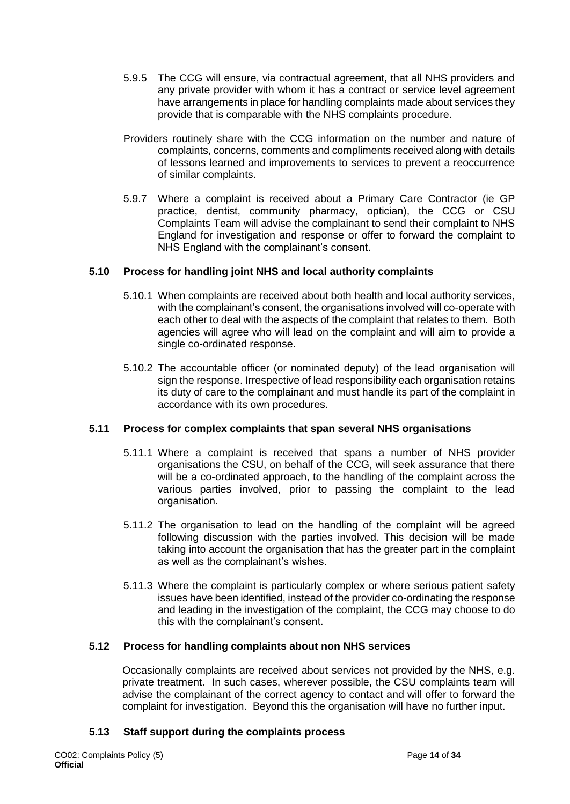- 5.9.5 The CCG will ensure, via contractual agreement, that all NHS providers and any private provider with whom it has a contract or service level agreement have arrangements in place for handling complaints made about services they provide that is comparable with the NHS complaints procedure.
- Providers routinely share with the CCG information on the number and nature of complaints, concerns, comments and compliments received along with details of lessons learned and improvements to services to prevent a reoccurrence of similar complaints.
- 5.9.7 Where a complaint is received about a Primary Care Contractor (ie GP practice, dentist, community pharmacy, optician), the CCG or CSU Complaints Team will advise the complainant to send their complaint to NHS England for investigation and response or offer to forward the complaint to NHS England with the complainant's consent.

#### **5.10 Process for handling joint NHS and local authority complaints**

- 5.10.1 When complaints are received about both health and local authority services, with the complainant's consent, the organisations involved will co-operate with each other to deal with the aspects of the complaint that relates to them. Both agencies will agree who will lead on the complaint and will aim to provide a single co-ordinated response.
- 5.10.2 The accountable officer (or nominated deputy) of the lead organisation will sign the response. Irrespective of lead responsibility each organisation retains its duty of care to the complainant and must handle its part of the complaint in accordance with its own procedures.

#### **5.11 Process for complex complaints that span several NHS organisations**

- 5.11.1 Where a complaint is received that spans a number of NHS provider organisations the CSU, on behalf of the CCG, will seek assurance that there will be a co-ordinated approach, to the handling of the complaint across the various parties involved, prior to passing the complaint to the lead organisation.
- 5.11.2 The organisation to lead on the handling of the complaint will be agreed following discussion with the parties involved. This decision will be made taking into account the organisation that has the greater part in the complaint as well as the complainant's wishes.
- 5.11.3 Where the complaint is particularly complex or where serious patient safety issues have been identified, instead of the provider co-ordinating the response and leading in the investigation of the complaint, the CCG may choose to do this with the complainant's consent.

#### **5.12 Process for handling complaints about non NHS services**

Occasionally complaints are received about services not provided by the NHS, e.g. private treatment. In such cases, wherever possible, the CSU complaints team will advise the complainant of the correct agency to contact and will offer to forward the complaint for investigation. Beyond this the organisation will have no further input.

#### **5.13 Staff support during the complaints process**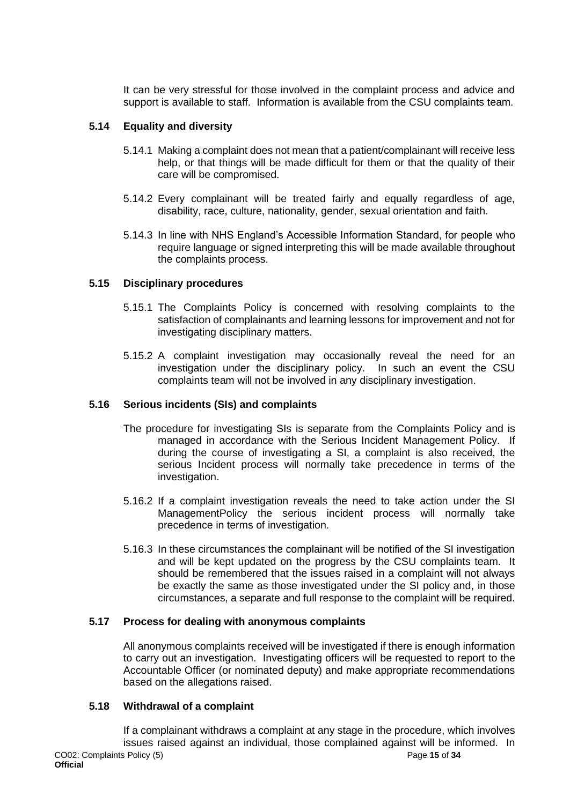It can be very stressful for those involved in the complaint process and advice and support is available to staff. Information is available from the CSU complaints team.

#### **5.14 Equality and diversity**

- 5.14.1 Making a complaint does not mean that a patient/complainant will receive less help, or that things will be made difficult for them or that the quality of their care will be compromised.
- 5.14.2 Every complainant will be treated fairly and equally regardless of age, disability, race, culture, nationality, gender, sexual orientation and faith.
- 5.14.3 In line with NHS England's Accessible Information Standard, for people who require language or signed interpreting this will be made available throughout the complaints process.

#### **5.15 Disciplinary procedures**

- 5.15.1 The Complaints Policy is concerned with resolving complaints to the satisfaction of complainants and learning lessons for improvement and not for investigating disciplinary matters.
- 5.15.2 A complaint investigation may occasionally reveal the need for an investigation under the disciplinary policy. In such an event the CSU complaints team will not be involved in any disciplinary investigation.

#### **5.16 Serious incidents (SIs) and complaints**

- The procedure for investigating SIs is separate from the Complaints Policy and is managed in accordance with the Serious Incident Management Policy. If during the course of investigating a SI, a complaint is also received, the serious Incident process will normally take precedence in terms of the investigation.
- 5.16.2 If a complaint investigation reveals the need to take action under the SI ManagementPolicy the serious incident process will normally take precedence in terms of investigation.
- 5.16.3 In these circumstances the complainant will be notified of the SI investigation and will be kept updated on the progress by the CSU complaints team. It should be remembered that the issues raised in a complaint will not always be exactly the same as those investigated under the SI policy and, in those circumstances, a separate and full response to the complaint will be required.

#### **5.17 Process for dealing with anonymous complaints**

All anonymous complaints received will be investigated if there is enough information to carry out an investigation. Investigating officers will be requested to report to the Accountable Officer (or nominated deputy) and make appropriate recommendations based on the allegations raised.

#### **5.18 Withdrawal of a complaint**

If a complainant withdraws a complaint at any stage in the procedure, which involves issues raised against an individual, those complained against will be informed. In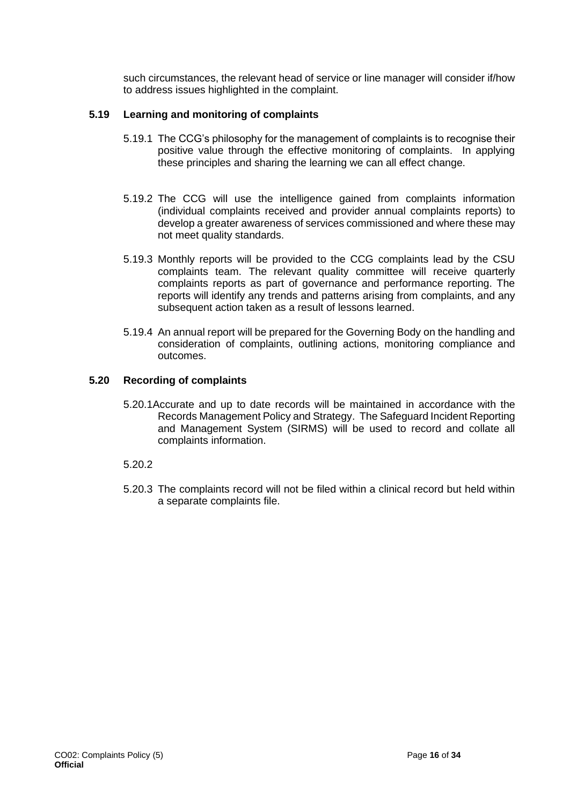such circumstances, the relevant head of service or line manager will consider if/how to address issues highlighted in the complaint.

#### **5.19 Learning and monitoring of complaints**

- 5.19.1 The CCG's philosophy for the management of complaints is to recognise their positive value through the effective monitoring of complaints. In applying these principles and sharing the learning we can all effect change.
- 5.19.2 The CCG will use the intelligence gained from complaints information (individual complaints received and provider annual complaints reports) to develop a greater awareness of services commissioned and where these may not meet quality standards.
- 5.19.3 Monthly reports will be provided to the CCG complaints lead by the CSU complaints team. The relevant quality committee will receive quarterly complaints reports as part of governance and performance reporting. The reports will identify any trends and patterns arising from complaints, and any subsequent action taken as a result of lessons learned.
- 5.19.4 An annual report will be prepared for the Governing Body on the handling and consideration of complaints, outlining actions, monitoring compliance and outcomes.

#### **5.20 Recording of complaints**

5.20.1Accurate and up to date records will be maintained in accordance with the Records Management Policy and Strategy. The Safeguard Incident Reporting and Management System (SIRMS) will be used to record and collate all complaints information.

#### 5.20.2

5.20.3 The complaints record will not be filed within a clinical record but held within a separate complaints file.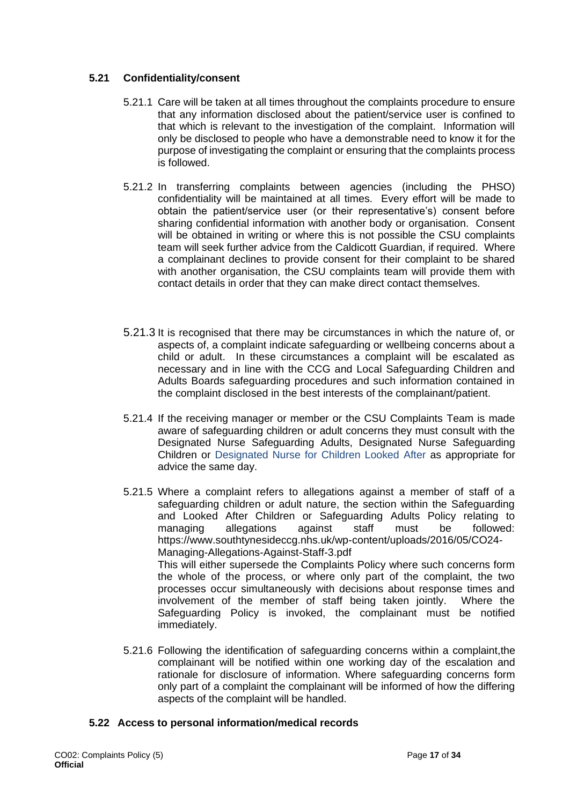#### **5.21 Confidentiality/consent**

- 5.21.1 Care will be taken at all times throughout the complaints procedure to ensure that any information disclosed about the patient/service user is confined to that which is relevant to the investigation of the complaint. Information will only be disclosed to people who have a demonstrable need to know it for the purpose of investigating the complaint or ensuring that the complaints process is followed.
- 5.21.2 In transferring complaints between agencies (including the PHSO) confidentiality will be maintained at all times. Every effort will be made to obtain the patient/service user (or their representative's) consent before sharing confidential information with another body or organisation. Consent will be obtained in writing or where this is not possible the CSU complaints team will seek further advice from the Caldicott Guardian, if required. Where a complainant declines to provide consent for their complaint to be shared with another organisation, the CSU complaints team will provide them with contact details in order that they can make direct contact themselves.
- 5.21.3 It is recognised that there may be circumstances in which the nature of, or aspects of, a complaint indicate safeguarding or wellbeing concerns about a child or adult. In these circumstances a complaint will be escalated as necessary and in line with the CCG and Local Safeguarding Children and Adults Boards safeguarding procedures and such information contained in the complaint disclosed in the best interests of the complainant/patient.
- 5.21.4 If the receiving manager or member or the CSU Complaints Team is made aware of safeguarding children or adult concerns they must consult with the Designated Nurse Safeguarding Adults, Designated Nurse Safeguarding Children or Designated Nurse for Children Looked After as appropriate for advice the same day.
- 5.21.5 Where a complaint refers to allegations against a member of staff of a safeguarding children or adult nature, the section within the Safeguarding and Looked After Children or Safeguarding Adults Policy relating to managing allegations against staff must be followed: https://www.southtynesideccg.nhs.uk/wp-content/uploads/2016/05/CO24- Managing-Allegations-Against-Staff-3.pdf This will either supersede the Complaints Policy where such concerns form the whole of the process, or where only part of the complaint, the two processes occur simultaneously with decisions about response times and involvement of the member of staff being taken jointly. Where the Safeguarding Policy is invoked, the complainant must be notified immediately.
- 5.21.6 Following the identification of safeguarding concerns within a complaint,the complainant will be notified within one working day of the escalation and rationale for disclosure of information. Where safeguarding concerns form only part of a complaint the complainant will be informed of how the differing aspects of the complaint will be handled.

#### **5.22 Access to personal information/medical records**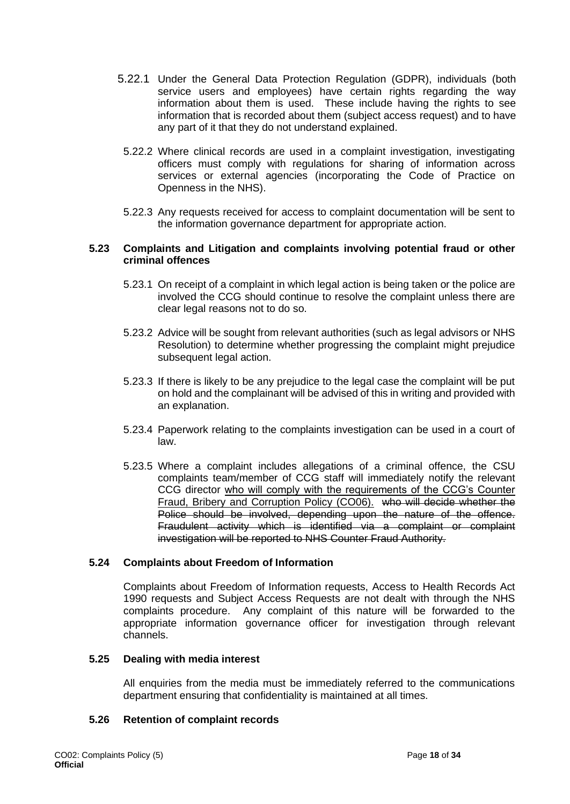- 5.22.1 Under the General Data Protection Regulation (GDPR), individuals (both service users and employees) have certain rights regarding the way information about them is used. These include having the rights to see information that is recorded about them (subject access request) and to have any part of it that they do not understand explained.
- 5.22.2 Where clinical records are used in a complaint investigation, investigating officers must comply with regulations for sharing of information across services or external agencies (incorporating the Code of Practice on Openness in the NHS).
- 5.22.3 Any requests received for access to complaint documentation will be sent to the information governance department for appropriate action.

#### **5.23 Complaints and Litigation and complaints involving potential fraud or other criminal offences**

- 5.23.1 On receipt of a complaint in which legal action is being taken or the police are involved the CCG should continue to resolve the complaint unless there are clear legal reasons not to do so.
- 5.23.2 Advice will be sought from relevant authorities (such as legal advisors or NHS Resolution) to determine whether progressing the complaint might prejudice subsequent legal action.
- 5.23.3 If there is likely to be any prejudice to the legal case the complaint will be put on hold and the complainant will be advised of this in writing and provided with an explanation.
- 5.23.4 Paperwork relating to the complaints investigation can be used in a court of law.
- 5.23.5 Where a complaint includes allegations of a criminal offence, the CSU complaints team/member of CCG staff will immediately notify the relevant CCG director who will comply with the requirements of the CCG's Counter Fraud, Bribery and Corruption Policy (CO06). who will decide whether the Police should be involved, depending upon the nature of the offence. Fraudulent activity which is identified via a complaint or complaint investigation will be reported to NHS Counter Fraud Authority.

#### **5.24 Complaints about Freedom of Information**

Complaints about Freedom of Information requests, Access to Health Records Act 1990 requests and Subject Access Requests are not dealt with through the NHS complaints procedure. Any complaint of this nature will be forwarded to the appropriate information governance officer for investigation through relevant channels.

#### **5.25 Dealing with media interest**

All enquiries from the media must be immediately referred to the communications department ensuring that confidentiality is maintained at all times.

#### **5.26 Retention of complaint records**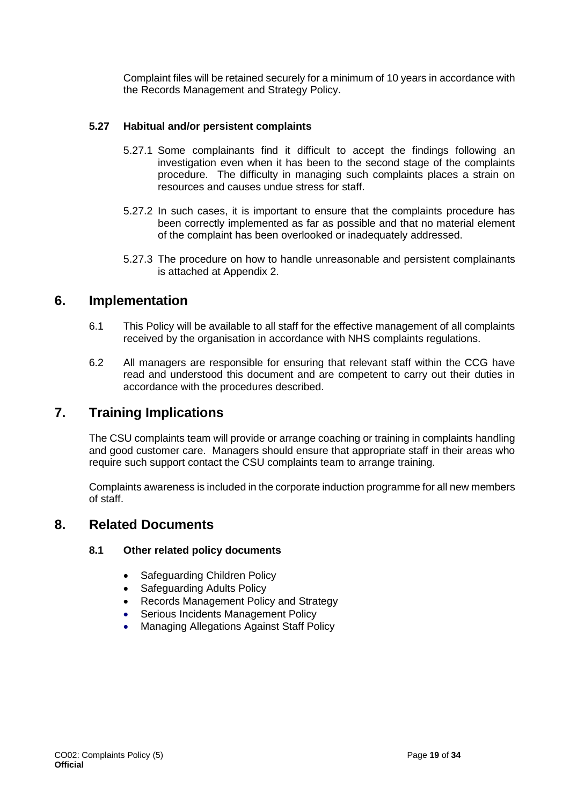Complaint files will be retained securely for a minimum of 10 years in accordance with the Records Management and Strategy Policy.

#### **5.27 Habitual and/or persistent complaints**

- 5.27.1 Some complainants find it difficult to accept the findings following an investigation even when it has been to the second stage of the complaints procedure. The difficulty in managing such complaints places a strain on resources and causes undue stress for staff.
- 5.27.2 In such cases, it is important to ensure that the complaints procedure has been correctly implemented as far as possible and that no material element of the complaint has been overlooked or inadequately addressed.
- 5.27.3 The procedure on how to handle unreasonable and persistent complainants is attached at Appendix 2.

## <span id="page-18-0"></span>**6. Implementation**

- 6.1 This Policy will be available to all staff for the effective management of all complaints received by the organisation in accordance with NHS complaints regulations.
- 6.2 All managers are responsible for ensuring that relevant staff within the CCG have read and understood this document and are competent to carry out their duties in accordance with the procedures described.

## <span id="page-18-1"></span>**7. Training Implications**

The CSU complaints team will provide or arrange coaching or training in complaints handling and good customer care. Managers should ensure that appropriate staff in their areas who require such support contact the CSU complaints team to arrange training.

Complaints awareness is included in the corporate induction programme for all new members of staff.

### <span id="page-18-2"></span>**8. Related Documents**

#### **8.1 Other related policy documents**

- Safeguarding Children Policy
- Safeguarding Adults Policy
- Records Management Policy and Strategy
- Serious Incidents Management Policy
- Managing Allegations Against Staff Policy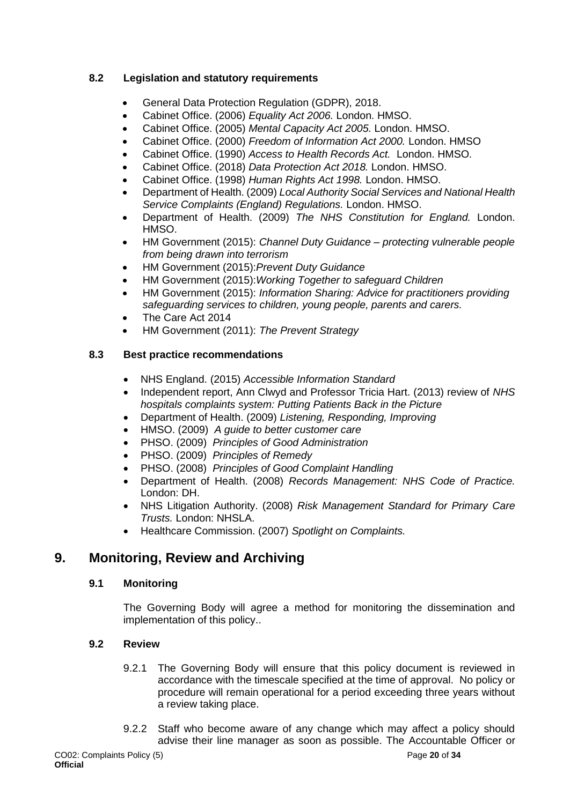### **8.2 Legislation and statutory requirements**

- General Data Protection Regulation (GDPR), 2018.
- Cabinet Office. (2006) *Equality Act 2006.* London. HMSO.
- Cabinet Office. (2005) *Mental Capacity Act 2005.* London. HMSO.
- Cabinet Office. (2000) *Freedom of Information Act 2000.* London. HMSO
- Cabinet Office. (1990) *Access to Health Records Act.* London. HMSO.
- Cabinet Office. (2018) *Data Protection Act 2018.* London. HMSO.
- Cabinet Office. (1998) *Human Rights Act 1998.* London. HMSO.
- Department of Health. (2009) *Local Authority Social Services and National Health Service Complaints (England) Regulations.* London. HMSO.
- Department of Health. (2009) *The NHS Constitution for England.* London. HMSO.
- HM Government (2015): *Channel Duty Guidance – protecting vulnerable people from being drawn into terrorism*
- HM Government (2015):*Prevent Duty Guidance*
- HM Government (2015):*Working Together to safeguard Children*
- HM Government (2015): *Information Sharing: Advice for practitioners providing safeguarding services to children, young people, parents and carers.*
- The Care Act 2014
- HM Government (2011): *The Prevent Strategy*

#### **8.3 Best practice recommendations**

- NHS England. (2015) *Accessible Information Standard*
- Independent report, Ann Clwyd and Professor Tricia Hart. (2013) review of *NHS hospitals complaints system: Putting Patients Back in the Picture*
- Department of Health. (2009) *Listening, Responding, Improving*
- HMSO. (2009) *A guide to better customer care*
- PHSO. (2009) *Principles of Good Administration*
- PHSO. (2009) *Principles of Remedy*
- PHSO. (2008) *Principles of Good Complaint Handling*
- Department of Health. (2008) *Records Management: NHS Code of Practice.*  London: DH.
- NHS Litigation Authority. (2008) *Risk Management Standard for Primary Care Trusts.* London: NHSLA.
- Healthcare Commission. (2007) *Spotlight on Complaints.*

## <span id="page-19-0"></span>**9. Monitoring, Review and Archiving**

#### **9.1 Monitoring**

The Governing Body will agree a method for monitoring the dissemination and implementation of this policy..

#### **9.2 Review**

- 9.2.1 The Governing Body will ensure that this policy document is reviewed in accordance with the timescale specified at the time of approval. No policy or procedure will remain operational for a period exceeding three years without a review taking place.
- 9.2.2 Staff who become aware of any change which may affect a policy should advise their line manager as soon as possible. The Accountable Officer or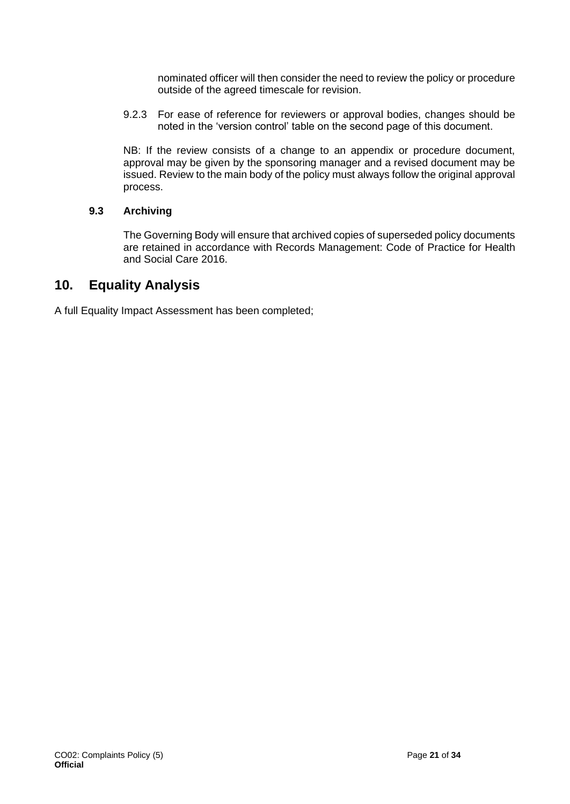nominated officer will then consider the need to review the policy or procedure outside of the agreed timescale for revision.

9.2.3 For ease of reference for reviewers or approval bodies, changes should be noted in the 'version control' table on the second page of this document.

NB: If the review consists of a change to an appendix or procedure document, approval may be given by the sponsoring manager and a revised document may be issued. Review to the main body of the policy must always follow the original approval process.

#### **9.3 Archiving**

The Governing Body will ensure that archived copies of superseded policy documents are retained in accordance with Records Management: Code of Practice for Health and Social Care 2016.

## <span id="page-20-0"></span>**10. Equality Analysis**

A full Equality Impact Assessment has been completed;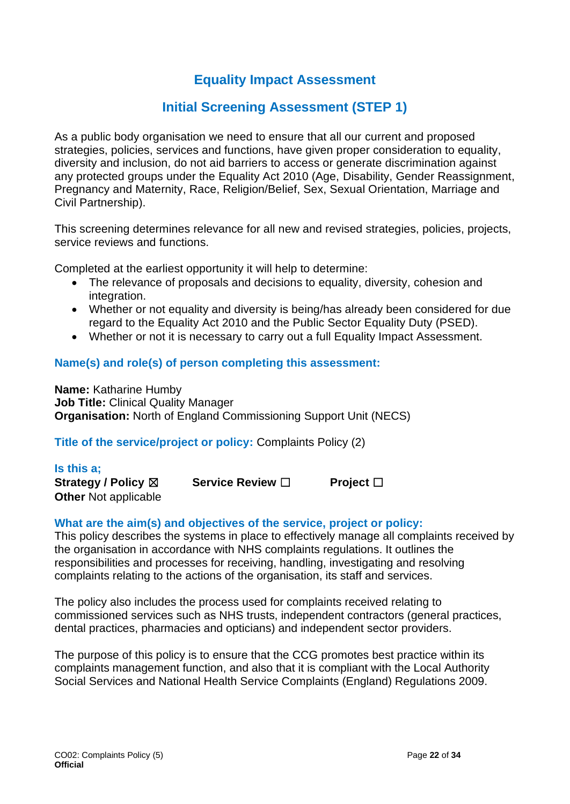## **Equality Impact Assessment**

## **Initial Screening Assessment (STEP 1)**

As a public body organisation we need to ensure that all our current and proposed strategies, policies, services and functions, have given proper consideration to equality, diversity and inclusion, do not aid barriers to access or generate discrimination against any protected groups under the Equality Act 2010 (Age, Disability, Gender Reassignment, Pregnancy and Maternity, Race, Religion/Belief, Sex, Sexual Orientation, Marriage and Civil Partnership).

This screening determines relevance for all new and revised strategies, policies, projects, service reviews and functions.

Completed at the earliest opportunity it will help to determine:

- The relevance of proposals and decisions to equality, diversity, cohesion and integration.
- Whether or not equality and diversity is being/has already been considered for due regard to the Equality Act 2010 and the Public Sector Equality Duty (PSED).
- Whether or not it is necessary to carry out a full Equality Impact Assessment.

### **Name(s) and role(s) of person completing this assessment:**

**Name:** Katharine Humby **Job Title:** Clinical Quality Manager **Organisation:** North of England Commissioning Support Unit (NECS)

#### **Title of the service/project or policy:** Complaints Policy (2)

| Is this a;                  |                         |                |
|-----------------------------|-------------------------|----------------|
| Strategy / Policy ⊠         | <b>Service Review</b> □ | Project $\Box$ |
| <b>Other Not applicable</b> |                         |                |

#### **What are the aim(s) and objectives of the service, project or policy:**

This policy describes the systems in place to effectively manage all complaints received by the organisation in accordance with NHS complaints regulations. It outlines the responsibilities and processes for receiving, handling, investigating and resolving complaints relating to the actions of the organisation, its staff and services.

The policy also includes the process used for complaints received relating to commissioned services such as NHS trusts, independent contractors (general practices, dental practices, pharmacies and opticians) and independent sector providers.

The purpose of this policy is to ensure that the CCG promotes best practice within its complaints management function, and also that it is compliant with the Local Authority Social Services and National Health Service Complaints (England) Regulations 2009.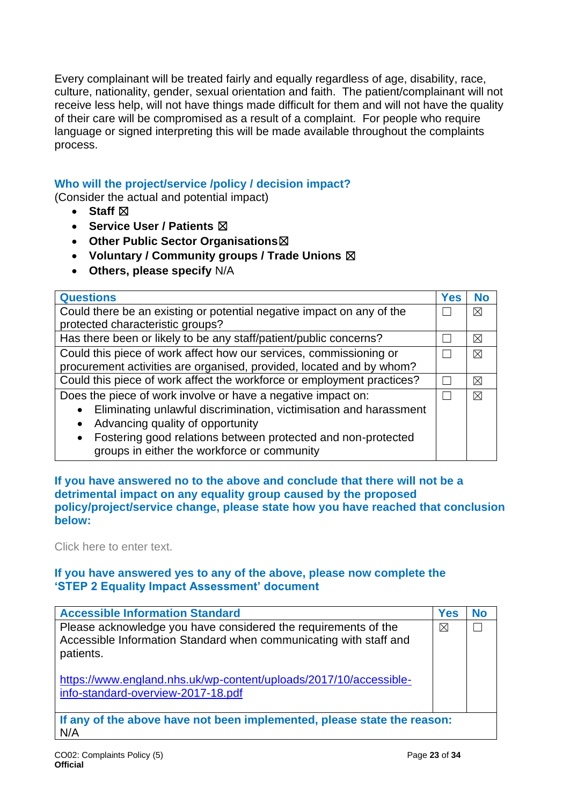Every complainant will be treated fairly and equally regardless of age, disability, race, culture, nationality, gender, sexual orientation and faith. The patient/complainant will not receive less help, will not have things made difficult for them and will not have the quality of their care will be compromised as a result of a complaint. For people who require language or signed interpreting this will be made available throughout the complaints process.

### **Who will the project/service /policy / decision impact?**

(Consider the actual and potential impact)

- **Staff**  $⊠$
- **Service User / Patients** ☒
- **Other Public Sector Organisations**☒
- **Voluntary / Community groups / Trade Unions** ☒
- **Others, please specify** N/A

| <b>Questions</b>                                                          | <b>Yes</b> | <b>No</b>   |
|---------------------------------------------------------------------------|------------|-------------|
| Could there be an existing or potential negative impact on any of the     |            | $\boxtimes$ |
| protected characteristic groups?                                          |            |             |
| Has there been or likely to be any staff/patient/public concerns?         |            | ⊠           |
| Could this piece of work affect how our services, commissioning or        |            | $\times$    |
| procurement activities are organised, provided, located and by whom?      |            |             |
| Could this piece of work affect the workforce or employment practices?    |            |             |
| Does the piece of work involve or have a negative impact on:              |            | $\times$    |
| Eliminating unlawful discrimination, victimisation and harassment         |            |             |
| Advancing quality of opportunity<br>$\bullet$                             |            |             |
| Fostering good relations between protected and non-protected<br>$\bullet$ |            |             |
| groups in either the workforce or community                               |            |             |

**If you have answered no to the above and conclude that there will not be a detrimental impact on any equality group caused by the proposed policy/project/service change, please state how you have reached that conclusion below:** 

Click here to enter text.

### **If you have answered yes to any of the above, please now complete the 'STEP 2 Equality Impact Assessment' document**

| <b>Accessible Information Standard</b>                                                                                                           | Yes         | No |
|--------------------------------------------------------------------------------------------------------------------------------------------------|-------------|----|
| Please acknowledge you have considered the requirements of the<br>Accessible Information Standard when communicating with staff and<br>patients. | $\boxtimes$ |    |
| https://www.england.nhs.uk/wp-content/uploads/2017/10/accessible-<br>info-standard-overview-2017-18.pdf                                          |             |    |
| If any of the above have not been implemented, please state the reason:<br>N/A                                                                   |             |    |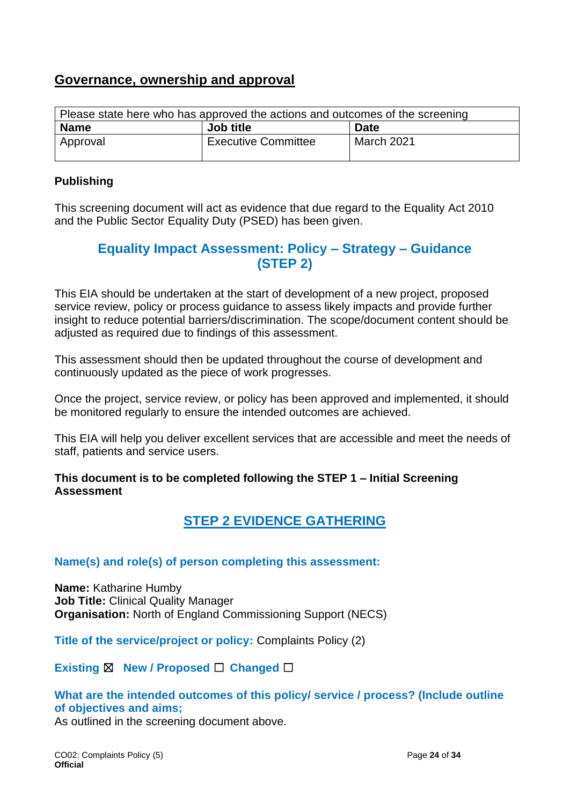## **Governance, ownership and approval**

| Please state here who has approved the actions and outcomes of the screening |                            |            |  |
|------------------------------------------------------------------------------|----------------------------|------------|--|
| <b>Name</b><br><b>Job title</b><br><b>Date</b>                               |                            |            |  |
| Approval                                                                     | <b>Executive Committee</b> | March 2021 |  |

### **Publishing**

This screening document will act as evidence that due regard to the Equality Act 2010 and the Public Sector Equality Duty (PSED) has been given.

## **Equality Impact Assessment: Policy – Strategy – Guidance (STEP 2)**

This EIA should be undertaken at the start of development of a new project, proposed service review, policy or process guidance to assess likely impacts and provide further insight to reduce potential barriers/discrimination. The scope/document content should be adjusted as required due to findings of this assessment.

This assessment should then be updated throughout the course of development and continuously updated as the piece of work progresses.

Once the project, service review, or policy has been approved and implemented, it should be monitored regularly to ensure the intended outcomes are achieved.

This EIA will help you deliver excellent services that are accessible and meet the needs of staff, patients and service users.

**This document is to be completed following the STEP 1 – Initial Screening Assessment**

## **STEP 2 EVIDENCE GATHERING**

### **Name(s) and role(s) of person completing this assessment:**

**Name:** Katharine Humby **Job Title:** Clinical Quality Manager **Organisation:** North of England Commissioning Support (NECS)

**Title of the service/project or policy:** Complaints Policy (2)

**Existing** ☒ **New / Proposed** ☐ **Changed** ☐

### **What are the intended outcomes of this policy/ service / process? (Include outline of objectives and aims;**

As outlined in the screening document above.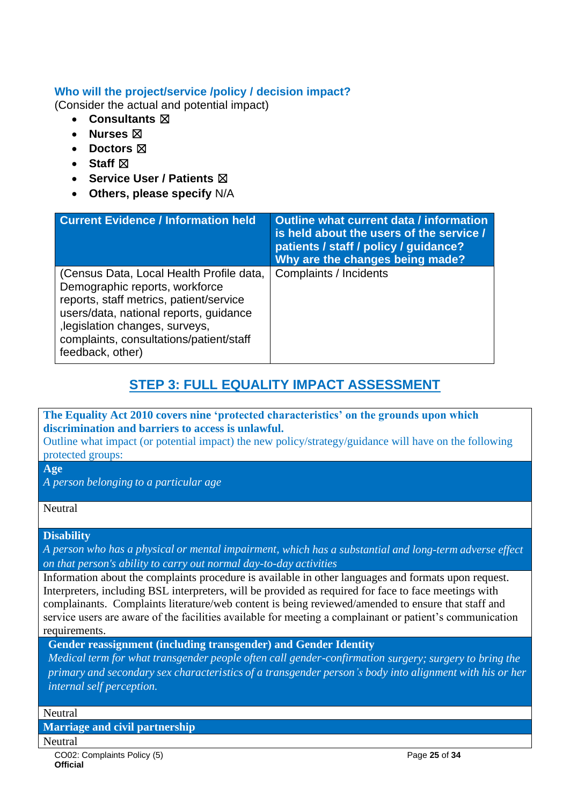### **Who will the project/service /policy / decision impact?**

(Consider the actual and potential impact)

- **Consultants** ☒
- **Nurses** ☒
- **Doctors** ☒
- **Staff**  $⊠$
- **Service User / Patients** ☒
- **Others, please specify** N/A

| <b>Current Evidence / Information held</b>                                                                                                                                                                                                                        | Outline what current data / information<br>is held about the users of the service /<br>patients / staff / policy / guidance?<br>Why are the changes being made? |
|-------------------------------------------------------------------------------------------------------------------------------------------------------------------------------------------------------------------------------------------------------------------|-----------------------------------------------------------------------------------------------------------------------------------------------------------------|
| (Census Data, Local Health Profile data,<br>Demographic reports, workforce<br>reports, staff metrics, patient/service<br>users/data, national reports, guidance<br>, legislation changes, surveys,<br>complaints, consultations/patient/staff<br>feedback, other) | Complaints / Incidents                                                                                                                                          |

## **STEP 3: FULL EQUALITY IMPACT ASSESSMENT**

### **The Equality Act 2010 covers nine 'protected characteristics' on the grounds upon which discrimination and barriers to access is unlawful.**

Outline what impact (or potential impact) the new policy/strategy/guidance will have on the following protected groups:

**Age**

*A person belonging to a particular age*

#### Neutral

#### **Disability**

*A person who has a physical or mental impairment, which has a substantial and long-term adverse effect on that person's ability to carry out normal day-to-day activities*

Information about the complaints procedure is available in other languages and formats upon request. Interpreters, including BSL interpreters, will be provided as required for face to face meetings with complainants. Complaints literature/web content is being reviewed/amended to ensure that staff and service users are aware of the facilities available for meeting a complainant or patient's communication requirements.

**Gender reassignment (including transgender) and Gender Identity**

*Medical term for what transgender people often call gender-confirmation surgery; surgery to bring the primary and secondary sex characteristics of a transgender person's body into alignment with his or her internal self perception.*

#### Neutral

**Marriage and civil partnership** 

**Neutral**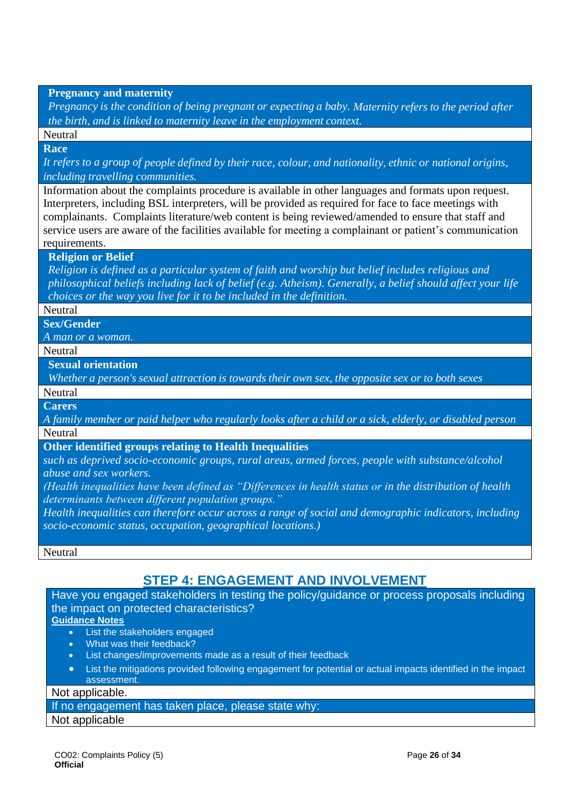**Pregnancy and maternity** 

*Pregnancy is the condition of being pregnant or expecting a baby. Maternity refers to the period after the birth, and is linked to maternity leave in the employment context.*

Neutral

**Race**

It refers to a group of people defined by their race, colour, and nationality, ethnic or national origins, *including travelling communities.*

Information about the complaints procedure is available in other languages and formats upon request. Interpreters, including BSL interpreters, will be provided as required for face to face meetings with complainants. Complaints literature/web content is being reviewed/amended to ensure that staff and service users are aware of the facilities available for meeting a complainant or patient's communication requirements.

#### **Religion or Belief**

*Religion is defined as a particular system of faith and worship but belief includes religious and philosophical beliefs including lack of belief (e.g. Atheism). Generally, a belief should affect your life choices or the way you live for it to be included in the definition.*

#### **Neutral**

**Sex/Gender**

*A man or a woman.*

Neutral

**Sexual orientation**

*Whether a person's sexual attraction is towards their own sex, the opposite sex or to both sexes*

**Neutral** 

**Carers**

*A family member or paid [helper](http://www.oxforddictionaries.com/definition/english/%20http:/www.oxforddictionaries.com/definition/english/helper#helper__2) who regularly looks after a child or a [sick,](http://www.oxforddictionaries.com/definition/english/%20http:/www.oxforddictionaries.com/definition/english/sick#sick__2) [elderly,](http://www.oxforddictionaries.com/definition/english/%20http:/www.oxforddictionaries.com/definition/english/elderly#elderly__2) or [disabled](http://www.oxforddictionaries.com/definition/english/%20http:/www.oxforddictionaries.com/definition/english/disabled#disabled__2) person* **Neutral** 

#### **Other identified groups relating to Health Inequalities**

*such as deprived socio-economic groups, rural areas, armed forces, people with substance/alcohol abuse and sex workers.*

*(Health inequalities have been defined as "Differences in health status or in the distribution of health determinants between different population groups."*

*Health inequalities can therefore occur across a range of social and demographic indicators, including socio-economic status, occupation, geographical locations.)*

Neutral

## **STEP 4: ENGAGEMENT AND INVOLVEMENT**

Have you engaged stakeholders in testing the policy/guidance or process proposals including the impact on protected characteristics?

#### **Guidance Notes**

- **List the stakeholders engaged**
- What was their feedback?
- List changes/improvements made as a result of their feedback
- List the mitigations provided following engagement for potential or actual impacts identified in the impact assessment.

#### Not applicable.

If no engagement has taken place, please state why:

#### Not applicable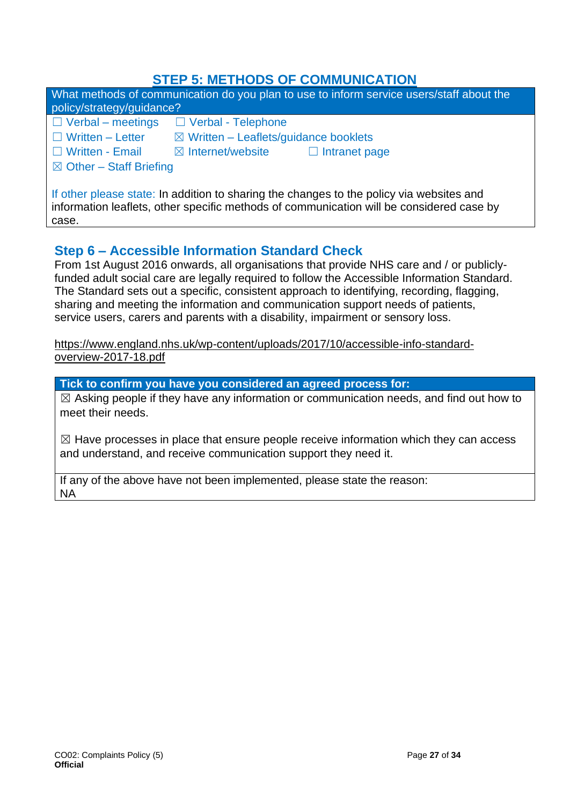## **STEP 5: METHODS OF COMMUNICATION**

| policy/strategy/guidance?                                                                                                                                                            | What methods of communication do you plan to use to inform service users/staff about the |
|--------------------------------------------------------------------------------------------------------------------------------------------------------------------------------------|------------------------------------------------------------------------------------------|
| $\Box$ Verbal – meetings                                                                                                                                                             | □ Verbal - Telephone                                                                     |
| $\Box$ Written – Letter                                                                                                                                                              | $\boxtimes$ Written – Leaflets/guidance booklets                                         |
| □ Written - Email                                                                                                                                                                    | $\boxtimes$ Internet/website<br>$\Box$ Intranet page                                     |
| $\boxtimes$ Other – Staff Briefing                                                                                                                                                   |                                                                                          |
| If other please state: In addition to sharing the changes to the policy via websites and<br>information leaflets, other specific methods of communication will be considered case by |                                                                                          |

## case.

## **Step 6 – Accessible Information Standard Check**

From 1st August 2016 onwards, all organisations that provide NHS care and / or publiclyfunded adult social care are legally required to follow the Accessible Information Standard. The Standard sets out a specific, consistent approach to identifying, recording, flagging, sharing and meeting the information and communication support needs of patients, service users, carers and parents with a disability, impairment or sensory loss.

[https://www.england.nhs.uk/wp-content/uploads/2017/10/accessible-info-standard](https://www.england.nhs.uk/wp-content/uploads/2017/10/accessible-info-standard-overview-2017-18.pdf)[overview-2017-18.pdf](https://www.england.nhs.uk/wp-content/uploads/2017/10/accessible-info-standard-overview-2017-18.pdf)

**Tick to confirm you have you considered an agreed process for:**

 $\boxtimes$  Asking people if they have any information or communication needs, and find out how to meet their needs.

 $\boxtimes$  Have processes in place that ensure people receive information which they can access and understand, and receive communication support they need it.

If any of the above have not been implemented, please state the reason: NA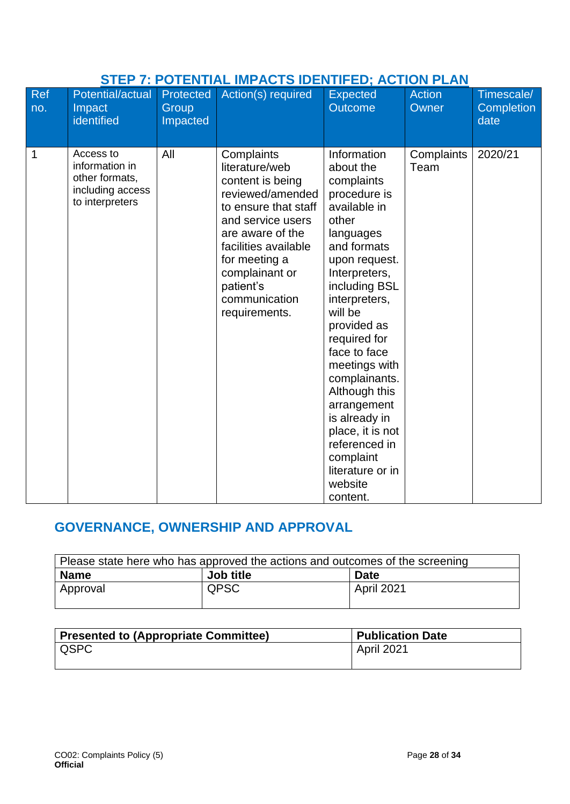| STEP 7: POTENTIAL IMPACTS IDENTIFED; ACTION PLAN |                                                                                      |                                       |                                                                                                                                                                                                                                                 |                                                                                                                                                                                                                                                                                                                                                                                                                           |                        |                                  |  |
|--------------------------------------------------|--------------------------------------------------------------------------------------|---------------------------------------|-------------------------------------------------------------------------------------------------------------------------------------------------------------------------------------------------------------------------------------------------|---------------------------------------------------------------------------------------------------------------------------------------------------------------------------------------------------------------------------------------------------------------------------------------------------------------------------------------------------------------------------------------------------------------------------|------------------------|----------------------------------|--|
| <b>Ref</b><br>no.                                | <b>Potential/actual</b><br>Impact<br>identified                                      | <b>Protected</b><br>Group<br>Impacted | Action(s) required                                                                                                                                                                                                                              | <b>Expected</b><br><b>Outcome</b>                                                                                                                                                                                                                                                                                                                                                                                         | <b>Action</b><br>Owner | Timescale/<br>Completion<br>date |  |
| 1                                                | Access to<br>information in<br>other formats,<br>including access<br>to interpreters | All                                   | Complaints<br>literature/web<br>content is being<br>reviewed/amended<br>to ensure that staff<br>and service users<br>are aware of the<br>facilities available<br>for meeting a<br>complainant or<br>patient's<br>communication<br>requirements. | Information<br>about the<br>complaints<br>procedure is<br>available in<br>other<br>languages<br>and formats<br>upon request.<br>Interpreters,<br>including BSL<br>interpreters,<br>will be<br>provided as<br>required for<br>face to face<br>meetings with<br>complainants.<br>Although this<br>arrangement<br>is already in<br>place, it is not<br>referenced in<br>complaint<br>literature or in<br>website<br>content. | Complaints<br>Team     | 2020/21                          |  |

## **STEP 7: POTENTIAL IMPACTS IDENTIFED; ACTION PLAN**

# **GOVERNANCE, OWNERSHIP AND APPROVAL**

| Please state here who has approved the actions and outcomes of the screening |             |                   |  |  |
|------------------------------------------------------------------------------|-------------|-------------------|--|--|
| <b>Name</b>                                                                  | Job title   | <b>Date</b>       |  |  |
| Approval                                                                     | <b>QPSC</b> | <b>April 2021</b> |  |  |
|                                                                              |             |                   |  |  |

| Presented to (Appropriate Committee) | <b>Publication Date</b> |
|--------------------------------------|-------------------------|
| I QSPC                               | l April 2021            |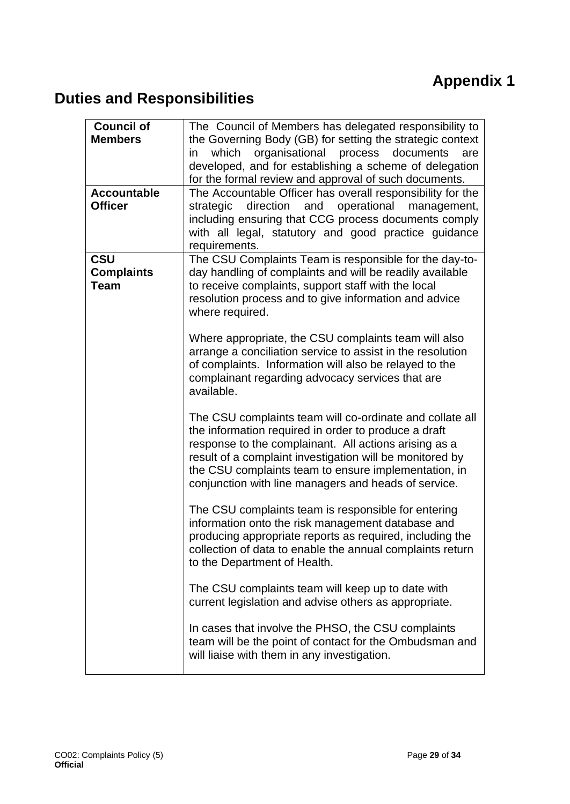# **Appendix 1**

# <span id="page-28-0"></span>**Duties and Responsibilities**

| <b>Council of</b><br><b>Members</b><br><b>Accountable</b><br><b>Officer</b> | The Council of Members has delegated responsibility to<br>the Governing Body (GB) for setting the strategic context<br>which<br>organisational process<br>documents<br>in<br>are<br>developed, and for establishing a scheme of delegation<br>for the formal review and approval of such documents.<br>The Accountable Officer has overall responsibility for the<br>operational<br>direction<br>and<br>management,<br>strategic<br>including ensuring that CCG process documents comply<br>with all legal, statutory and good practice guidance<br>requirements. |
|-----------------------------------------------------------------------------|-------------------------------------------------------------------------------------------------------------------------------------------------------------------------------------------------------------------------------------------------------------------------------------------------------------------------------------------------------------------------------------------------------------------------------------------------------------------------------------------------------------------------------------------------------------------|
| <b>CSU</b><br><b>Complaints</b><br><b>Team</b>                              | The CSU Complaints Team is responsible for the day-to-<br>day handling of complaints and will be readily available<br>to receive complaints, support staff with the local<br>resolution process and to give information and advice<br>where required.                                                                                                                                                                                                                                                                                                             |
|                                                                             | Where appropriate, the CSU complaints team will also<br>arrange a conciliation service to assist in the resolution<br>of complaints. Information will also be relayed to the<br>complainant regarding advocacy services that are<br>available.                                                                                                                                                                                                                                                                                                                    |
|                                                                             | The CSU complaints team will co-ordinate and collate all<br>the information required in order to produce a draft<br>response to the complainant. All actions arising as a<br>result of a complaint investigation will be monitored by<br>the CSU complaints team to ensure implementation, in<br>conjunction with line managers and heads of service.                                                                                                                                                                                                             |
|                                                                             | The CSU complaints team is responsible for entering<br>information onto the risk management database and<br>producing appropriate reports as required, including the<br>collection of data to enable the annual complaints return<br>to the Department of Health.                                                                                                                                                                                                                                                                                                 |
|                                                                             | The CSU complaints team will keep up to date with<br>current legislation and advise others as appropriate.                                                                                                                                                                                                                                                                                                                                                                                                                                                        |
|                                                                             | In cases that involve the PHSO, the CSU complaints<br>team will be the point of contact for the Ombudsman and<br>will liaise with them in any investigation.                                                                                                                                                                                                                                                                                                                                                                                                      |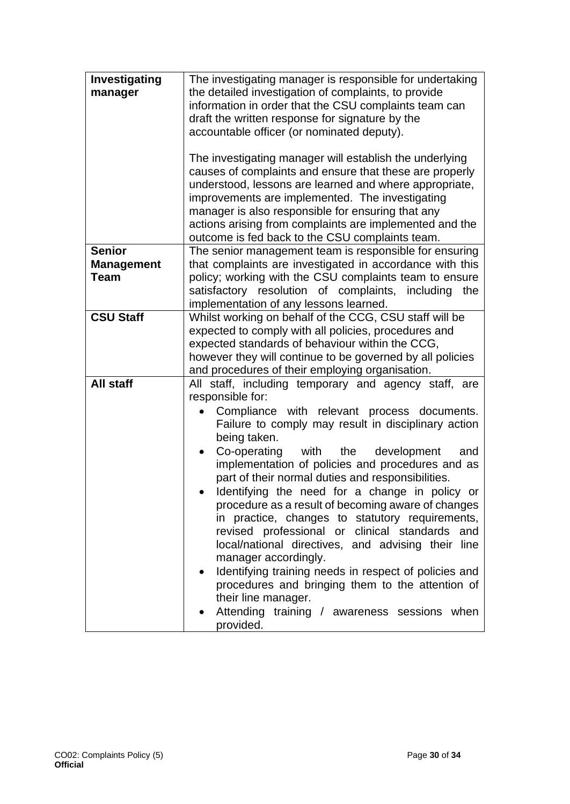| Investigating<br>manager                          | The investigating manager is responsible for undertaking<br>the detailed investigation of complaints, to provide<br>information in order that the CSU complaints team can<br>draft the written response for signature by the<br>accountable officer (or nominated deputy).<br>The investigating manager will establish the underlying<br>causes of complaints and ensure that these are properly<br>understood, lessons are learned and where appropriate,<br>improvements are implemented. The investigating<br>manager is also responsible for ensuring that any                                                                                                                                                                                                                                                                                                              |
|---------------------------------------------------|---------------------------------------------------------------------------------------------------------------------------------------------------------------------------------------------------------------------------------------------------------------------------------------------------------------------------------------------------------------------------------------------------------------------------------------------------------------------------------------------------------------------------------------------------------------------------------------------------------------------------------------------------------------------------------------------------------------------------------------------------------------------------------------------------------------------------------------------------------------------------------|
|                                                   | actions arising from complaints are implemented and the<br>outcome is fed back to the CSU complaints team.                                                                                                                                                                                                                                                                                                                                                                                                                                                                                                                                                                                                                                                                                                                                                                      |
| <b>Senior</b><br><b>Management</b><br><b>Team</b> | The senior management team is responsible for ensuring<br>that complaints are investigated in accordance with this<br>policy; working with the CSU complaints team to ensure<br>satisfactory resolution of complaints, including<br>the<br>implementation of any lessons learned.                                                                                                                                                                                                                                                                                                                                                                                                                                                                                                                                                                                               |
| <b>CSU Staff</b>                                  | Whilst working on behalf of the CCG, CSU staff will be<br>expected to comply with all policies, procedures and<br>expected standards of behaviour within the CCG,<br>however they will continue to be governed by all policies<br>and procedures of their employing organisation.                                                                                                                                                                                                                                                                                                                                                                                                                                                                                                                                                                                               |
| <b>All staff</b>                                  | All staff, including temporary and agency staff, are<br>responsible for:<br>Compliance with relevant process documents.<br>Failure to comply may result in disciplinary action<br>being taken.<br>Co-operating with the<br>development<br>and<br>$\bullet$<br>implementation of policies and procedures and as<br>part of their normal duties and responsibilities.<br>Identifying the need for a change in policy or<br>procedure as a result of becoming aware of changes<br>in practice, changes to statutory requirements,<br>revised professional or clinical standards<br>and<br>local/national directives, and advising their line<br>manager accordingly.<br>Identifying training needs in respect of policies and<br>$\bullet$<br>procedures and bringing them to the attention of<br>their line manager.<br>Attending training / awareness sessions when<br>provided. |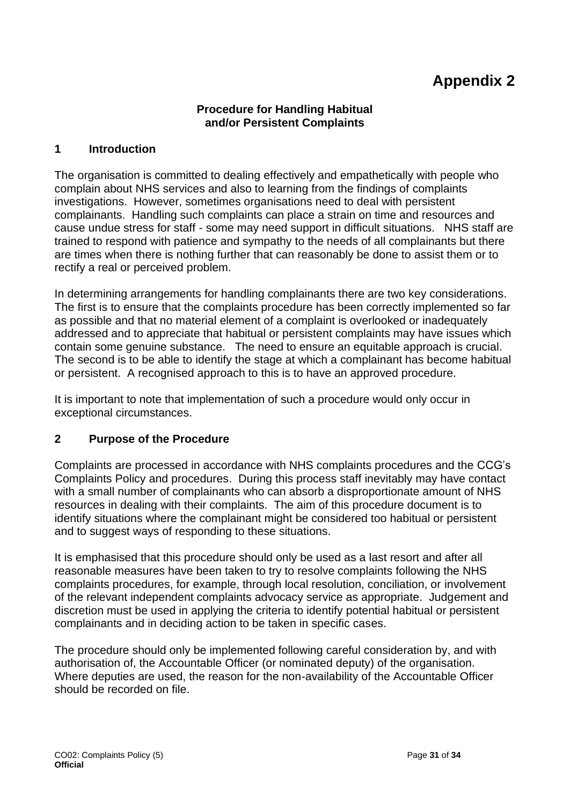# **Appendix 2**

#### **Procedure for Handling Habitual and/or Persistent Complaints**

#### <span id="page-30-0"></span>**1 Introduction**

The organisation is committed to dealing effectively and empathetically with people who complain about NHS services and also to learning from the findings of complaints investigations. However, sometimes organisations need to deal with persistent complainants. Handling such complaints can place a strain on time and resources and cause undue stress for staff - some may need support in difficult situations. NHS staff are trained to respond with patience and sympathy to the needs of all complainants but there are times when there is nothing further that can reasonably be done to assist them or to rectify a real or perceived problem.

In determining arrangements for handling complainants there are two key considerations. The first is to ensure that the complaints procedure has been correctly implemented so far as possible and that no material element of a complaint is overlooked or inadequately addressed and to appreciate that habitual or persistent complaints may have issues which contain some genuine substance. The need to ensure an equitable approach is crucial. The second is to be able to identify the stage at which a complainant has become habitual or persistent. A recognised approach to this is to have an approved procedure.

It is important to note that implementation of such a procedure would only occur in exceptional circumstances.

#### **2 Purpose of the Procedure**

Complaints are processed in accordance with NHS complaints procedures and the CCG's Complaints Policy and procedures. During this process staff inevitably may have contact with a small number of complainants who can absorb a disproportionate amount of NHS resources in dealing with their complaints. The aim of this procedure document is to identify situations where the complainant might be considered too habitual or persistent and to suggest ways of responding to these situations.

It is emphasised that this procedure should only be used as a last resort and after all reasonable measures have been taken to try to resolve complaints following the NHS complaints procedures, for example, through local resolution, conciliation, or involvement of the relevant independent complaints advocacy service as appropriate. Judgement and discretion must be used in applying the criteria to identify potential habitual or persistent complainants and in deciding action to be taken in specific cases.

The procedure should only be implemented following careful consideration by, and with authorisation of, the Accountable Officer (or nominated deputy) of the organisation. Where deputies are used, the reason for the non-availability of the Accountable Officer should be recorded on file.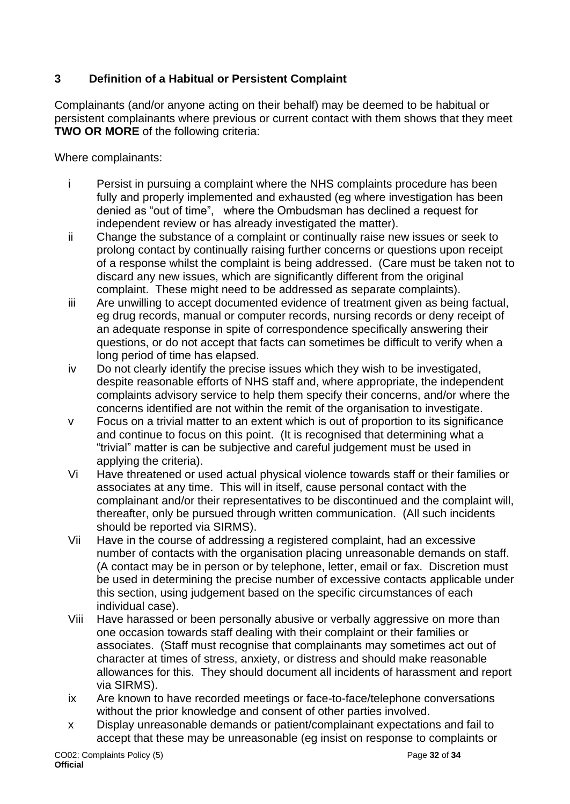## **3 Definition of a Habitual or Persistent Complaint**

Complainants (and/or anyone acting on their behalf) may be deemed to be habitual or persistent complainants where previous or current contact with them shows that they meet **TWO OR MORE** of the following criteria:

Where complainants:

- i Persist in pursuing a complaint where the NHS complaints procedure has been fully and properly implemented and exhausted (eg where investigation has been denied as "out of time", where the Ombudsman has declined a request for independent review or has already investigated the matter).
- ii Change the substance of a complaint or continually raise new issues or seek to prolong contact by continually raising further concerns or questions upon receipt of a response whilst the complaint is being addressed. (Care must be taken not to discard any new issues, which are significantly different from the original complaint. These might need to be addressed as separate complaints).
- iii Are unwilling to accept documented evidence of treatment given as being factual, eg drug records, manual or computer records, nursing records or deny receipt of an adequate response in spite of correspondence specifically answering their questions, or do not accept that facts can sometimes be difficult to verify when a long period of time has elapsed.
- iv Do not clearly identify the precise issues which they wish to be investigated, despite reasonable efforts of NHS staff and, where appropriate, the independent complaints advisory service to help them specify their concerns, and/or where the concerns identified are not within the remit of the organisation to investigate.
- v Focus on a trivial matter to an extent which is out of proportion to its significance and continue to focus on this point. (It is recognised that determining what a "trivial" matter is can be subjective and careful judgement must be used in applying the criteria).
- Vi Have threatened or used actual physical violence towards staff or their families or associates at any time. This will in itself, cause personal contact with the complainant and/or their representatives to be discontinued and the complaint will, thereafter, only be pursued through written communication. (All such incidents should be reported via SIRMS).
- Vii Have in the course of addressing a registered complaint, had an excessive number of contacts with the organisation placing unreasonable demands on staff. (A contact may be in person or by telephone, letter, email or fax. Discretion must be used in determining the precise number of excessive contacts applicable under this section, using judgement based on the specific circumstances of each individual case).
- Viii Have harassed or been personally abusive or verbally aggressive on more than one occasion towards staff dealing with their complaint or their families or associates. (Staff must recognise that complainants may sometimes act out of character at times of stress, anxiety, or distress and should make reasonable allowances for this. They should document all incidents of harassment and report via SIRMS).
- ix Are known to have recorded meetings or face-to-face/telephone conversations without the prior knowledge and consent of other parties involved.
- x Display unreasonable demands or patient/complainant expectations and fail to accept that these may be unreasonable (eg insist on response to complaints or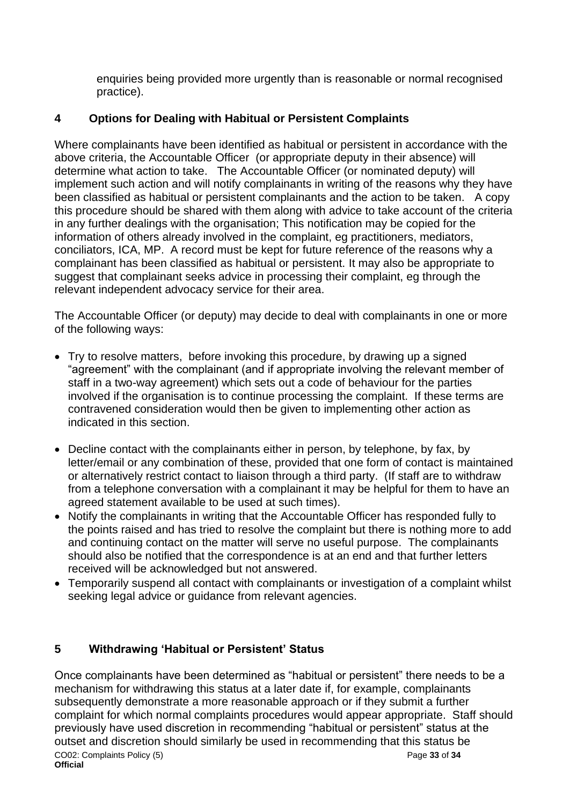enquiries being provided more urgently than is reasonable or normal recognised practice).

## **4 Options for Dealing with Habitual or Persistent Complaints**

Where complainants have been identified as habitual or persistent in accordance with the above criteria, the Accountable Officer (or appropriate deputy in their absence) will determine what action to take. The Accountable Officer (or nominated deputy) will implement such action and will notify complainants in writing of the reasons why they have been classified as habitual or persistent complainants and the action to be taken. A copy this procedure should be shared with them along with advice to take account of the criteria in any further dealings with the organisation; This notification may be copied for the information of others already involved in the complaint, eg practitioners, mediators, conciliators, ICA, MP. A record must be kept for future reference of the reasons why a complainant has been classified as habitual or persistent. It may also be appropriate to suggest that complainant seeks advice in processing their complaint, eg through the relevant independent advocacy service for their area.

The Accountable Officer (or deputy) may decide to deal with complainants in one or more of the following ways:

- Try to resolve matters, before invoking this procedure, by drawing up a signed "agreement" with the complainant (and if appropriate involving the relevant member of staff in a two-way agreement) which sets out a code of behaviour for the parties involved if the organisation is to continue processing the complaint. If these terms are contravened consideration would then be given to implementing other action as indicated in this section.
- Decline contact with the complainants either in person, by telephone, by fax, by letter/email or any combination of these, provided that one form of contact is maintained or alternatively restrict contact to liaison through a third party. (If staff are to withdraw from a telephone conversation with a complainant it may be helpful for them to have an agreed statement available to be used at such times).
- Notify the complainants in writing that the Accountable Officer has responded fully to the points raised and has tried to resolve the complaint but there is nothing more to add and continuing contact on the matter will serve no useful purpose. The complainants should also be notified that the correspondence is at an end and that further letters received will be acknowledged but not answered.
- Temporarily suspend all contact with complainants or investigation of a complaint whilst seeking legal advice or guidance from relevant agencies.

## **5 Withdrawing 'Habitual or Persistent' Status**

CO02: Complaints Policy (5) Page **33** of **34 Official** Once complainants have been determined as "habitual or persistent" there needs to be a mechanism for withdrawing this status at a later date if, for example, complainants subsequently demonstrate a more reasonable approach or if they submit a further complaint for which normal complaints procedures would appear appropriate. Staff should previously have used discretion in recommending "habitual or persistent" status at the outset and discretion should similarly be used in recommending that this status be